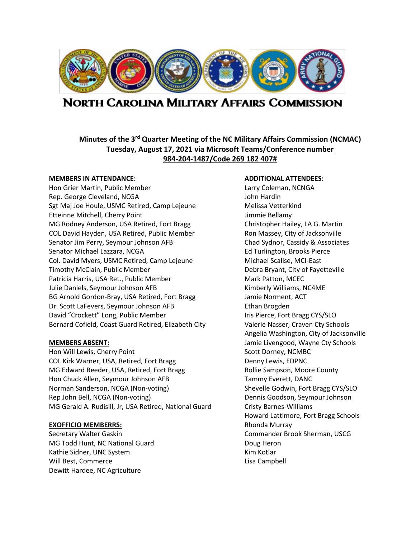

# **NORTH CAROLINA MILITARY AFFAIRS COMMISSION**

# **Minutes of the 3rd Quarter Meeting of the NC Military Affairs Commission (NCMAC) Tuesday, August 17, 2021 via Microsoft Teams/Conference number 984-204-1487/Code 269 182 407#**

#### **MEMBERS IN ATTENDANCE: ADDITIONAL ATTENDEES:**

Hon Grier Martin, Public Member Larry Coleman, NCNGA Rep. George Cleveland, NCGA John Hardin Sgt Maj Joe Houle, USMC Retired, Camp Lejeune Manuel Melissa Vetterkind Etteinne Mitchell, Cherry Point **Guidea** and The Mitchell Bellamy MG Rodney Anderson, USA Retired, Fort Bragg Christopher Hailey, LA G. Martin COL David Hayden, USA Retired, Public Member Ron Massey, City of Jacksonville Senator Jim Perry, Seymour Johnson AFB Chad Sydnor, Cassidy & Associates Senator Michael Lazzara, NCGA **Ed Turlington, Brooks Pierce** Col. David Myers, USMC Retired, Camp Lejeune Michael Scalise, MCI-East Timothy McClain, Public Member Debra Bryant, City of Fayetteville Patricia Harris, USA Ret., Public Member Mark Patton, MCEC Julie Daniels, Seymour Johnson AFB Kimberly Williams, NC4ME BG Arnold Gordon-Bray, USA Retired, Fort Bragg Jamie Norment, ACT Dr. Scott LaFevers, Seymour Johnson AFB Ethan Brogden David "Crockett" Long, Public Member International List Pierce, Fort Bragg CYS/SLO Bernard Cofield, Coast Guard Retired, Elizabeth City Valerie Nasser, Craven Cty Schools

Hon Will Lewis, Cherry Point New York Scott Dorney, NCMBC COL Kirk Warner, USA, Retired, Fort Bragg Base Denny Lewis, EDPNC MG Edward Reeder, USA, Retired, Fort Bragg Rollie Sampson, Moore County Hon Chuck Allen, Seymour Johnson AFB Tammy Everett, DANC Norman Sanderson, NCGA (Non-voting) Shevelle Godwin, Fort Bragg CYS/SLO Rep John Bell, NCGA (Non-voting) Dennis Goodson, Seymour Johnson MG Gerald A. Rudisill, Jr, USA Retired, National Guard Cristy Barnes-Williams

#### **EXOFFICIO MEMBERRS:** Rhonda Murray

MG Todd Hunt, NC National Guard Doug Heron Kathie Sidner, UNC System Kim Kotlar Will Best, Commerce **Lisa Campbell Lisa Campbell** Dewitt Hardee, NC Agriculture

Angelia Washington, City of Jacksonville **MEMBERS ABSENT:** Jamie Livengood, Wayne Cty Schools Howard Lattimore, Fort Bragg Schools Secretary Walter Gaskin Commander Brook Sherman, USCG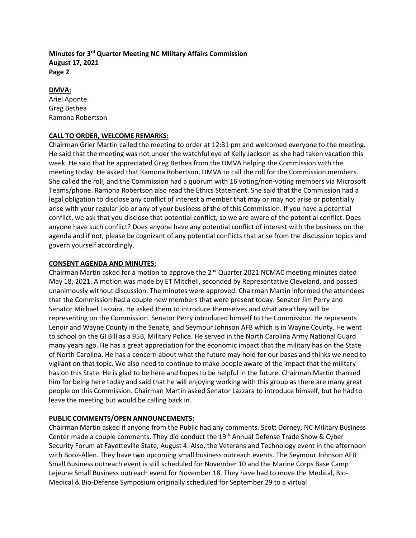#### **DMVA:**

Ariel Aponte Greg Bethea Ramona Robertson

#### **CALL TO ORDER, WELCOME REMARKS:**

Chairman Grier Martin called the meeting to order at 12:31 pm and welcomed everyone to the meeting. He said that the meeting was not under the watchful eye of Kelly Jackson as she had taken vacation this week. He said that he appreciated Greg Bethea from the DMVA helping the Commission with the meeting today. He asked that Ramona Robertson, DMVA to call the roll for the Commission members. She called the roll, and the Commission had a quorum with 16 voting/non-voting members via Microsoft Teams/phone. Ramona Robertson also read the Ethics Statement. She said that the Commission had a legal obligation to disclose any conflict of interest a member that may or may not arise or potentially arise with your regular job or any of your business of the of this Commission. If you have a potential conflict, we ask that you disclose that potential conflict, so we are aware of the potential conflict. Does anyone have such conflict? Does anyone have any potential conflict of interest with the business on the agenda and if not, please be cognizant of any potential conflicts that arise from the discussion topics and govern yourself accordingly.

#### **CONSENT AGENDA AND MINUTES:**

Chairman Martin asked for a motion to approve the 2<sup>nd</sup> Quarter 2021 NCMAC meeting minutes dated May 18, 2021. A motion was made by ET Mitchell, seconded by Representative Cleveland, and passed unanimously without discussion. The minutes were approved. Chairman Martin informed the attendees that the Commission had a couple new members that were present today. Senator Jim Perry and Senator Michael Lazzara. He asked them to introduce themselves and what area they will be representing on the Commission. Senator Perry introduced himself to the Commission. He represents Lenoir and Wayne County in the Senate, and Seymour Johnson AFB which is in Wayne County. He went to school on the GI Bill as a 95B, Military Police. He served in the North Carolina Army National Guard many years ago. He has a great appreciation for the economic impact that the military has on the State of North Carolina. He has a concern about what the future may hold for our bases and thinks we need to vigilant on that topic. We also need to continue to make people aware of the impact that the military has on this State. He is glad to be here and hopes to be helpful in the future. Chairman Martin thanked him for being here today and said that he will enjoying working with this group as there are many great people on this Commission. Chairman Martin asked Senator Lazzara to introduce himself, but he had to leave the meeting but would be calling back in.

# **PUBLIC COMMENTS/OPEN ANNOUNCEMENTS:**

Chairman Martin asked if anyone from the Public had any comments. Scott Dorney, NC Military Business Center made a couple comments. They did conduct the 19<sup>th</sup> Annual Defense Trade Show & Cyber Security Forum at Fayetteville State, August 4. Also, the Veterans and Technology event in the afternoon with Booz-Allen. They have two upcoming small business outreach events. The Seymour Johnson AFB Small Business outreach event is still scheduled for November 10 and the Marine Corps Base Camp Lejeune Small Business outreach event for November 18. They have had to move the Medical, Bio-Medical & Bio-Defense Symposium originally scheduled for September 29 to a virtual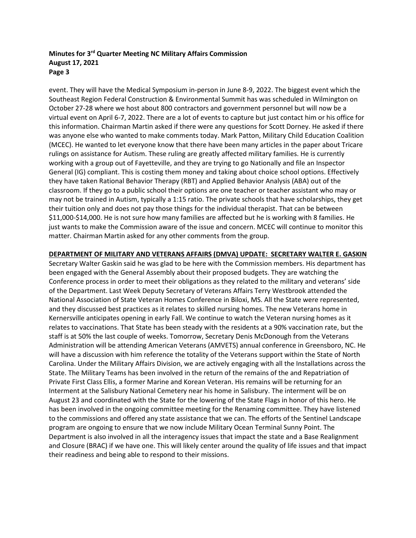event. They will have the Medical Symposium in-person in June 8-9, 2022. The biggest event which the Southeast Region Federal Construction & Environmental Summit has was scheduled in Wilmington on October 27-28 where we host about 800 contractors and government personnel but will now be a virtual event on April 6-7, 2022. There are a lot of events to capture but just contact him or his office for this information. Chairman Martin asked if there were any questions for Scott Dorney. He asked if there was anyone else who wanted to make comments today. Mark Patton, Military Child Education Coalition (MCEC). He wanted to let everyone know that there have been many articles in the paper about Tricare rulings on assistance for Autism. These ruling are greatly affected military families. He is currently working with a group out of Fayetteville, and they are trying to go Nationally and file an Inspector General (IG) compliant. This is costing them money and taking about choice school options. Effectively they have taken Rational Behavior Therapy (RBT) and Applied Behavior Analysis (ABA) out of the classroom. If they go to a public school their options are one teacher or teacher assistant who may or may not be trained in Autism, typically a 1:15 ratio. The private schools that have scholarships, they get their tuition only and does not pay those things for the individual therapist. That can be between \$11,000-\$14,000. He is not sure how many families are affected but he is working with 8 families. He just wants to make the Commission aware of the issue and concern. MCEC will continue to monitor this matter. Chairman Martin asked for any other comments from the group.

**DEPARTMENT OF MILITARY AND VETERANS AFFAIRS (DMVA) UPDATE: SECRETARY WALTER E. GASKIN**

Secretary Walter Gaskin said he was glad to be here with the Commission members. His department has been engaged with the General Assembly about their proposed budgets. They are watching the Conference process in order to meet their obligations as they related to the military and veterans' side of the Department. Last Week Deputy Secretary of Veterans Affairs Terry Westbrook attended the National Association of State Veteran Homes Conference in Biloxi, MS. All the State were represented, and they discussed best practices as it relates to skilled nursing homes. The new Veterans home in Kernersville anticipates opening in early Fall. We continue to watch the Veteran nursing homes as it relates to vaccinations. That State has been steady with the residents at a 90% vaccination rate, but the staff is at 50% the last couple of weeks. Tomorrow, Secretary Denis McDonough from the Veterans Administration will be attending American Veterans (AMVETS) annual conference in Greensboro, NC. He will have a discussion with him reference the totality of the Veterans support within the State of North Carolina. Under the Military Affairs Division, we are actively engaging with all the Installations across the State. The Military Teams has been involved in the return of the remains of the and Repatriation of Private First Class Ellis, a former Marine and Korean Veteran. His remains will be returning for an Interment at the Salisbury National Cemetery near his home in Salisbury. The interment will be on August 23 and coordinated with the State for the lowering of the State Flags in honor of this hero. He has been involved in the ongoing committee meeting for the Renaming committee. They have listened to the commissions and offered any state assistance that we can. The efforts of the Sentinel Landscape program are ongoing to ensure that we now include Military Ocean Terminal Sunny Point. The Department is also involved in all the interagency issues that impact the state and a Base Realignment and Closure (BRAC) if we have one. This will likely center around the quality of life issues and that impact their readiness and being able to respond to their missions.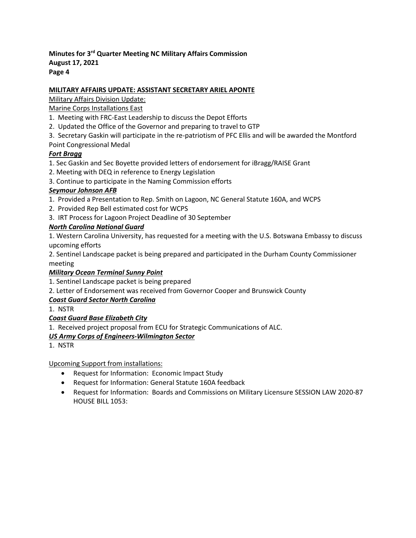# **MILITARY AFFAIRS UPDATE: ASSISTANT SECRETARY ARIEL APONTE**

# Military Affairs Division Update:

# Marine Corps Installations East

- 1. Meeting with FRC-East Leadership to discuss the Depot Efforts
- 2. Updated the Office of the Governor and preparing to travel to GTP
- 3. Secretary Gaskin will participate in the re-patriotism of PFC Ellis and will be awarded the Montford
- Point Congressional Medal

# *Fort Bragg*

- 1. Sec Gaskin and Sec Boyette provided letters of endorsement for iBragg/RAISE Grant
- 2. Meeting with DEQ in reference to Energy Legislation
- 3. Continue to participate in the Naming Commission efforts

# *Seymour Johnson AFB*

- 1. Provided a Presentation to Rep. Smith on Lagoon, NC General Statute 160A, and WCPS
- 2. Provided Rep Bell estimated cost for WCPS
- 3. IRT Process for Lagoon Project Deadline of 30 September

# *North Carolina National Guard*

1. Western Carolina University, has requested for a meeting with the U.S. Botswana Embassy to discuss upcoming efforts

2. Sentinel Landscape packet is being prepared and participated in the Durham County Commissioner meeting

# *Military Ocean Terminal Sunny Point*

1. Sentinel Landscape packet is being prepared

2. Letter of Endorsement was received from Governor Cooper and Brunswick County

# *Coast Guard Sector North Carolina*

1. NSTR

# *Coast Guard Base Elizabeth City*

1. Received project proposal from ECU for Strategic Communications of ALC.

# *US Army Corps of Engineers-Wilmington Sector*

1. NSTR

Upcoming Support from installations:

- Request for Information: Economic Impact Study
- Request for Information: General Statute 160A feedback
- Request for Information: Boards and Commissions on Military Licensure SESSION LAW 2020-87 HOUSE BILL 1053: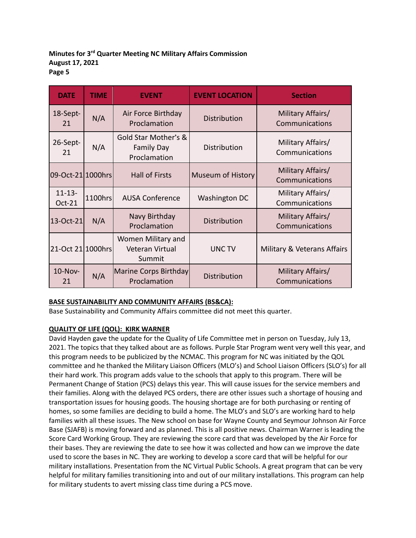| <b>DATE</b>           | <b>TIME</b>                                               | <b>EVENT</b>                                              | <b>EVENT LOCATION</b>    | <b>Section</b>                      |
|-----------------------|-----------------------------------------------------------|-----------------------------------------------------------|--------------------------|-------------------------------------|
| 18-Sept-<br>21        | N/A                                                       | Air Force Birthday<br>Proclamation                        | Distribution             | Military Affairs/<br>Communications |
| 26-Sept-<br>21        | N/A                                                       | Gold Star Mother's &<br><b>Family Day</b><br>Proclamation | Distribution             | Military Affairs/<br>Communications |
| 09-Oct-21 1000hrs     |                                                           | <b>Hall of Firsts</b>                                     | <b>Museum of History</b> | Military Affairs/<br>Communications |
| $11 - 13 -$<br>Oct-21 | 1100hrs                                                   | <b>AUSA Conference</b>                                    | Washington DC            | Military Affairs/<br>Communications |
| 13-Oct-21             | N/A                                                       | Navy Birthday<br>Proclamation                             | Distribution             | Military Affairs/<br>Communications |
| 21-Oct 21 1000hrs     | Women Military and<br>UNC TV<br>Veteran Virtual<br>Summit |                                                           |                          | Military & Veterans Affairs         |
| <b>10-Nov-</b><br>21  | N/A                                                       | Marine Corps Birthday<br>Proclamation                     | Distribution             | Military Affairs/<br>Communications |

# **BASE SUSTAINABILITY AND COMMUNITY AFFAIRS (BS&CA):**

Base Sustainability and Community Affairs committee did not meet this quarter.

# **QUALITY OF LIFE (QOL): KIRK WARNER**

David Hayden gave the update for the Quality of Life Committee met in person on Tuesday, July 13, 2021. The topics that they talked about are as follows. Purple Star Program went very well this year, and this program needs to be publicized by the NCMAC. This program for NC was initiated by the QOL committee and he thanked the Military Liaison Officers (MLO's) and School Liaison Officers (SLO's) for all their hard work. This program adds value to the schools that apply to this program. There will be Permanent Change of Station (PCS) delays this year. This will cause issues for the service members and their families. Along with the delayed PCS orders, there are other issues such a shortage of housing and transportation issues for housing goods. The housing shortage are for both purchasing or renting of homes, so some families are deciding to build a home. The MLO's and SLO's are working hard to help families with all these issues. The New school on base for Wayne County and Seymour Johnson Air Force Base (SJAFB) is moving forward and as planned. This is all positive news. Chairman Warner is leading the Score Card Working Group. They are reviewing the score card that was developed by the Air Force for their bases. They are reviewing the date to see how it was collected and how can we improve the date used to score the bases in NC. They are working to develop a score card that will be helpful for our military installations. Presentation from the NC Virtual Public Schools. A great program that can be very helpful for military families transitioning into and out of our military installations. This program can help for military students to avert missing class time during a PCS move.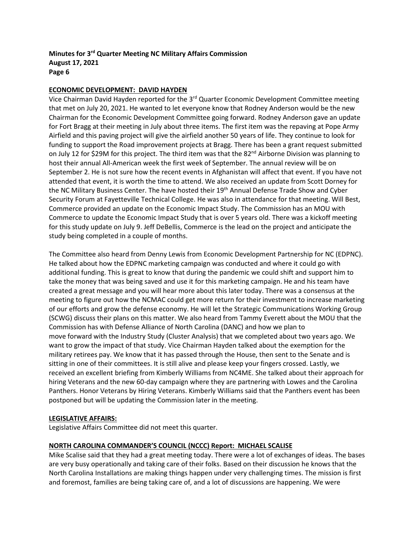#### **ECONOMIC DEVELOPMENT: DAVID HAYDEN**

Vice Chairman David Hayden reported for the 3<sup>rd</sup> Quarter Economic Development Committee meeting that met on July 20, 2021. He wanted to let everyone know that Rodney Anderson would be the new Chairman for the Economic Development Committee going forward. Rodney Anderson gave an update for Fort Bragg at their meeting in July about three items. The first item was the repaving at Pope Army Airfield and this paving project will give the airfield another 50 years of life. They continue to look for funding to support the Road improvement projects at Bragg. There has been a grant request submitted on July 12 for \$29M for this project. The third item was that the  $82<sup>nd</sup>$  Airborne Division was planning to host their annual All-American week the first week of September. The annual review will be on September 2. He is not sure how the recent events in Afghanistan will affect that event. If you have not attended that event, it is worth the time to attend. We also received an update from Scott Dorney for the NC Military Business Center. The have hosted their 19<sup>th</sup> Annual Defense Trade Show and Cyber Security Forum at Fayetteville Technical College. He was also in attendance for that meeting. Will Best, Commerce provided an update on the Economic Impact Study. The Commission has an MOU with Commerce to update the Economic Impact Study that is over 5 years old. There was a kickoff meeting for this study update on July 9. Jeff DeBellis, Commerce is the lead on the project and anticipate the study being completed in a couple of months.

The Committee also heard from Denny Lewis from Economic Development Partnership for NC (EDPNC). He talked about how the EDPNC marketing campaign was conducted and where it could go with additional funding. This is great to know that during the pandemic we could shift and support him to take the money that was being saved and use it for this marketing campaign. He and his team have created a great message and you will hear more about this later today. There was a consensus at the meeting to figure out how the NCMAC could get more return for their investment to increase marketing of our efforts and grow the defense economy. He will let the Strategic Communications Working Group (SCWG) discuss their plans on this matter. We also heard from Tammy Everett about the MOU that the Commission has with Defense Alliance of North Carolina (DANC) and how we plan to move forward with the Industry Study (Cluster Analysis) that we completed about two years ago. We want to grow the impact of that study. Vice Chairman Hayden talked about the exemption for the military retirees pay. We know that it has passed through the House, then sent to the Senate and is sitting in one of their committees. It is still alive and please keep your fingers crossed. Lastly, we received an excellent briefing from Kimberly Williams from NC4ME. She talked about their approach for hiring Veterans and the new 60-day campaign where they are partnering with Lowes and the Carolina Panthers. Honor Veterans by Hiring Veterans. Kimberly Williams said that the Panthers event has been postponed but will be updating the Commission later in the meeting.

#### **LEGISLATIVE AFFAIRS:**

Legislative Affairs Committee did not meet this quarter.

#### **NORTH CAROLINA COMMANDER'S COUNCIL (NCCC) Report: MICHAEL SCALISE**

Mike Scalise said that they had a great meeting today. There were a lot of exchanges of ideas. The bases are very busy operationally and taking care of their folks. Based on their discussion he knows that the North Carolina Installations are making things happen under very challenging times. The mission is first and foremost, families are being taking care of, and a lot of discussions are happening. We were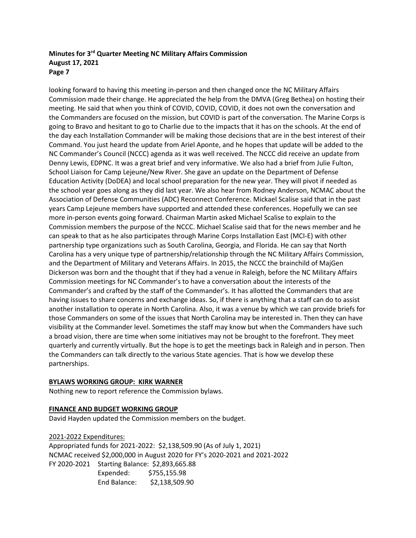looking forward to having this meeting in-person and then changed once the NC Military Affairs Commission made their change. He appreciated the help from the DMVA (Greg Bethea) on hosting their meeting. He said that when you think of COVID, COVID, COVID, it does not own the conversation and the Commanders are focused on the mission, but COVID is part of the conversation. The Marine Corps is going to Bravo and hesitant to go to Charlie due to the impacts that it has on the schools. At the end of the day each Installation Commander will be making those decisions that are in the best interest of their Command. You just heard the update from Ariel Aponte, and he hopes that update will be added to the NC Commander's Council (NCCC) agenda as it was well received. The NCCC did receive an update from Denny Lewis, EDPNC. It was a great brief and very informative. We also had a brief from Julie Fulton, School Liaison for Camp Lejeune/New River. She gave an update on the Department of Defense Education Activity (DoDEA) and local school preparation for the new year. They will pivot if needed as the school year goes along as they did last year. We also hear from Rodney Anderson, NCMAC about the Association of Defense Communities (ADC) Reconnect Conference. Mickael Scalise said that in the past years Camp Lejeune members have supported and attended these conferences. Hopefully we can see more in-person events going forward. Chairman Martin asked Michael Scalise to explain to the Commission members the purpose of the NCCC. Michael Scalise said that for the news member and he can speak to that as he also participates through Marine Corps Installation East (MCI-E) with other partnership type organizations such as South Carolina, Georgia, and Florida. He can say that North Carolina has a very unique type of partnership/relationship through the NC Military Affairs Commission, and the Department of Military and Veterans Affairs. In 2015, the NCCC the brainchild of MajGen Dickerson was born and the thought that if they had a venue in Raleigh, before the NC Military Affairs Commission meetings for NC Commander's to have a conversation about the interests of the Commander's and crafted by the staff of the Commander's. It has allotted the Commanders that are having issues to share concerns and exchange ideas. So, if there is anything that a staff can do to assist another installation to operate in North Carolina. Also, it was a venue by which we can provide briefs for those Commanders on some of the issues that North Carolina may be interested in. Then they can have visibility at the Commander level. Sometimes the staff may know but when the Commanders have such a broad vision, there are time when some initiatives may not be brought to the forefront. They meet quarterly and currently virtually. But the hope is to get the meetings back in Raleigh and in person. Then the Commanders can talk directly to the various State agencies. That is how we develop these partnerships.

#### **BYLAWS WORKING GROUP: KIRK WARNER**

Nothing new to report reference the Commission bylaws.

#### **FINANCE AND BUDGET WORKING GROUP**

David Hayden updated the Commission members on the budget.

2021-2022 Expenditures: Appropriated funds for 2021-2022: \$2,138,509.90 (As of July 1, 2021) NCMAC received \$2,000,000 in August 2020 for FY's 2020-2021 and 2021-2022 FY 2020-2021 Starting Balance: \$2,893,665.88 Expended: \$755,155.98 End Balance: \$2,138,509.90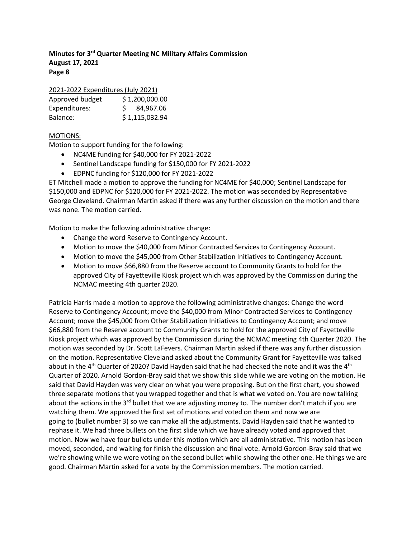| 2021-2022 Expenditures (July 2021) |                |  |  |  |
|------------------------------------|----------------|--|--|--|
| Approved budget                    | \$1,200,000.00 |  |  |  |
| Expenditures:                      | \$4,967.06     |  |  |  |
| Balance:                           | \$1,115,032.94 |  |  |  |

## MOTIONS:

Motion to support funding for the following:

- NC4ME funding for \$40,000 for FY 2021-2022
- Sentinel Landscape funding for \$150,000 for FY 2021-2022
- EDPNC funding for \$120,000 for FY 2021-2022

ET Mitchell made a motion to approve the funding for NC4ME for \$40,000; Sentinel Landscape for \$150,000 and EDPNC for \$120,000 for FY 2021-2022. The motion was seconded by Representative George Cleveland. Chairman Martin asked if there was any further discussion on the motion and there was none. The motion carried.

Motion to make the following administrative change:

- Change the word Reserve to Contingency Account.
- Motion to move the \$40,000 from Minor Contracted Services to Contingency Account.
- Motion to move the \$45,000 from Other Stabilization Initiatives to Contingency Account.
- Motion to move \$66,880 from the Reserve account to Community Grants to hold for the approved City of Fayetteville Kiosk project which was approved by the Commission during the NCMAC meeting 4th quarter 2020.

Patricia Harris made a motion to approve the following administrative changes: Change the word Reserve to Contingency Account; move the \$40,000 from Minor Contracted Services to Contingency Account; move the \$45,000 from Other Stabilization Initiatives to Contingency Account; and move \$66,880 from the Reserve account to Community Grants to hold for the approved City of Fayetteville Kiosk project which was approved by the Commission during the NCMAC meeting 4th Quarter 2020. The motion was seconded by Dr. Scott LaFevers. Chairman Martin asked if there was any further discussion on the motion. Representative Cleveland asked about the Community Grant for Fayetteville was talked about in the 4<sup>th</sup> Quarter of 2020? David Hayden said that he had checked the note and it was the 4<sup>th</sup> Quarter of 2020. Arnold Gordon-Bray said that we show this slide while we are voting on the motion. He said that David Hayden was very clear on what you were proposing. But on the first chart, you showed three separate motions that you wrapped together and that is what we voted on. You are now talking about the actions in the  $3<sup>rd</sup>$  bullet that we are adjusting money to. The number don't match if you are watching them. We approved the first set of motions and voted on them and now we are going to (bullet number 3) so we can make all the adjustments. David Hayden said that he wanted to rephase it. We had three bullets on the first slide which we have already voted and approved that motion. Now we have four bullets under this motion which are all administrative. This motion has been moved, seconded, and waiting for finish the discussion and final vote. Arnold Gordon-Bray said that we we're showing while we were voting on the second bullet while showing the other one. He things we are good. Chairman Martin asked for a vote by the Commission members. The motion carried.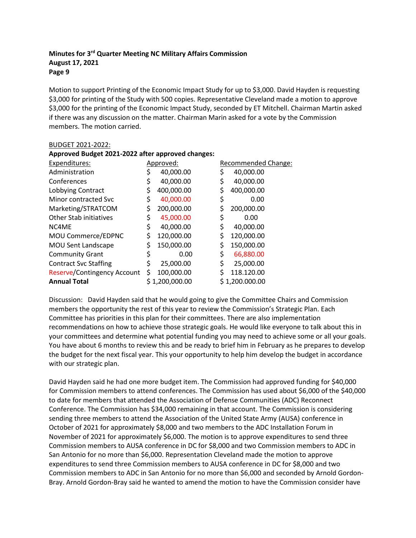BUDGET 2021-2022:

Motion to support Printing of the Economic Impact Study for up to \$3,000. David Hayden is requesting \$3,000 for printing of the Study with 500 copies. Representative Cleveland made a motion to approve \$3,000 for the printing of the Economic Impact Study, seconded by ET Mitchell. Chairman Martin asked if there was any discussion on the matter. Chairman Marin asked for a vote by the Commission members. The motion carried.

| Approved Budget 2021-2022 after approved changes: |    |                |    |                     |  |  |
|---------------------------------------------------|----|----------------|----|---------------------|--|--|
| Expenditures:                                     |    | Approved:      |    | Recommended Change: |  |  |
| Administration                                    |    | 40,000.00      |    | 40,000.00           |  |  |
| Conferences                                       |    | 40,000.00      |    | 40,000.00           |  |  |
| Lobbying Contract                                 | \$ | 400,000.00     |    | 400,000.00          |  |  |
| Minor contracted Svc                              | \$ | 40,000.00      | \$ | 0.00                |  |  |
| Marketing/STRATCOM                                | \$ | 200,000.00     |    | 200,000.00          |  |  |
| <b>Other Stab initiatives</b>                     | \$ | 45,000.00      | \$ | 0.00                |  |  |
| NC4ME                                             | \$ | 40,000.00      | \$ | 40,000.00           |  |  |
| MOU Commerce/EDPNC                                | \$ | 120,000.00     | \$ | 120,000.00          |  |  |
| <b>MOU Sent Landscape</b>                         | \$ | 150,000.00     | \$ | 150,000.00          |  |  |
| <b>Community Grant</b>                            |    | 0.00           | \$ | 66,880.00           |  |  |
| <b>Contract Svc Staffing</b>                      | \$ | 25,000.00      | \$ | 25,000.00           |  |  |
| Reserve/Contingency Account                       | S  | 100,000.00     | \$ | 118.120.00          |  |  |
| <b>Annual Total</b>                               |    | \$1,200,000.00 |    | \$1,200.000.00      |  |  |

# Discussion: David Hayden said that he would going to give the Committee Chairs and Commission members the opportunity the rest of this year to review the Commission's Strategic Plan. Each Committee has priorities in this plan for their committees. There are also implementation recommendations on how to achieve those strategic goals. He would like everyone to talk about this in your committees and determine what potential funding you may need to achieve some or all your goals. You have about 6 months to review this and be ready to brief him in February as he prepares to develop the budget for the next fiscal year. This your opportunity to help him develop the budget in accordance with our strategic plan.

David Hayden said he had one more budget item. The Commission had approved funding for \$40,000 for Commission members to attend conferences. The Commission has used about \$6,000 of the \$40,000 to date for members that attended the Association of Defense Communities (ADC) Reconnect Conference. The Commission has \$34,000 remaining in that account. The Commission is considering sending three members to attend the Association of the United State Army (AUSA) conference in October of 2021 for approximately \$8,000 and two members to the ADC Installation Forum in November of 2021 for approximately \$6,000. The motion is to approve expenditures to send three Commission members to AUSA conference in DC for \$8,000 and two Commission members to ADC in San Antonio for no more than \$6,000. Representation Cleveland made the motion to approve expenditures to send three Commission members to AUSA conference in DC for \$8,000 and two Commission members to ADC in San Antonio for no more than \$6,000 and seconded by Arnold Gordon-Bray. Arnold Gordon-Bray said he wanted to amend the motion to have the Commission consider have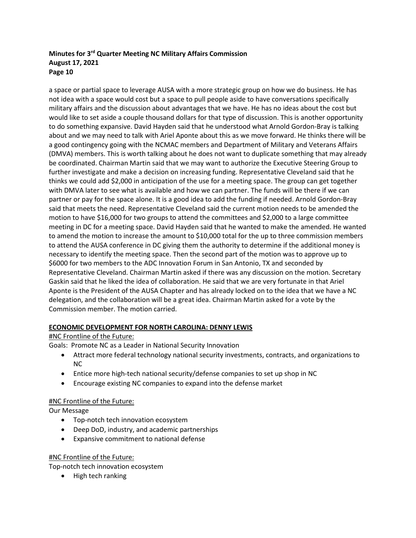a space or partial space to leverage AUSA with a more strategic group on how we do business. He has not idea with a space would cost but a space to pull people aside to have conversations specifically military affairs and the discussion about advantages that we have. He has no ideas about the cost but would like to set aside a couple thousand dollars for that type of discussion. This is another opportunity to do something expansive. David Hayden said that he understood what Arnold Gordon-Bray is talking about and we may need to talk with Ariel Aponte about this as we move forward. He thinks there will be a good contingency going with the NCMAC members and Department of Military and Veterans Affairs (DMVA) members. This is worth talking about he does not want to duplicate something that may already be coordinated. Chairman Martin said that we may want to authorize the Executive Steering Group to further investigate and make a decision on increasing funding. Representative Cleveland said that he thinks we could add \$2,000 in anticipation of the use for a meeting space. The group can get together with DMVA later to see what is available and how we can partner. The funds will be there if we can partner or pay for the space alone. It is a good idea to add the funding if needed. Arnold Gordon-Bray said that meets the need. Representative Cleveland said the current motion needs to be amended the motion to have \$16,000 for two groups to attend the committees and \$2,000 to a large committee meeting in DC for a meeting space. David Hayden said that he wanted to make the amended. He wanted to amend the motion to increase the amount to \$10,000 total for the up to three commission members to attend the AUSA conference in DC giving them the authority to determine if the additional money is necessary to identify the meeting space. Then the second part of the motion was to approve up to \$6000 for two members to the ADC Innovation Forum in San Antonio, TX and seconded by Representative Cleveland. Chairman Martin asked if there was any discussion on the motion. Secretary Gaskin said that he liked the idea of collaboration. He said that we are very fortunate in that Ariel Aponte is the President of the AUSA Chapter and has already locked on to the idea that we have a NC delegation, and the collaboration will be a great idea. Chairman Martin asked for a vote by the Commission member. The motion carried.

# **ECONOMIC DEVELOPMENT FOR NORTH CAROLINA: DENNY LEWIS**

# #NC Frontline of the Future:

Goals: Promote NC as a Leader in National Security Innovation

- Attract more federal technology national security investments, contracts, and organizations to NC
- Entice more high-tech national security/defense companies to set up shop in NC
- Encourage existing NC companies to expand into the defense market

# #NC Frontline of the Future:

Our Message

- Top-notch tech innovation ecosystem
- Deep DoD, industry, and academic partnerships
- Expansive commitment to national defense

# #NC Frontline of the Future:

Top-notch tech innovation ecosystem

• High tech ranking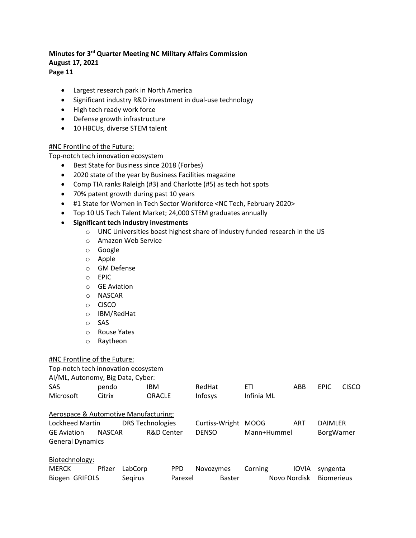**Page 11**

- Largest research park in North America
- Significant industry R&D investment in dual-use technology
- High tech ready work force
- Defense growth infrastructure
- 10 HBCUs, diverse STEM talent

#### #NC Frontline of the Future:

Top-notch tech innovation ecosystem

- Best State for Business since 2018 (Forbes)
- 2020 state of the year by Business Facilities magazine
- Comp TIA ranks Raleigh (#3) and Charlotte (#5) as tech hot spots
- 70% patent growth during past 10 years
- #1 State for Women in Tech Sector Workforce <NC Tech, February 2020>
- Top 10 US Tech Talent Market; 24,000 STEM graduates annually

#### • **Significant tech industry investments**

- o UNC Universities boast highest share of industry funded research in the US
- o Amazon Web Service
- o Google
- o Apple
- o GM Defense
- o EPIC
- o GE Aviation
- o NASCAR
- o CISCO
- o IBM/RedHat
- o SAS
- o Rouse Yates
- o Raytheon

#### #NC Frontline of the Future:

| Top-notch tech innovation ecosystem   |                   |                         |                |             |              |                |              |
|---------------------------------------|-------------------|-------------------------|----------------|-------------|--------------|----------------|--------------|
| Al/ML, Autonomy, Big Data, Cyber:     |                   |                         |                |             |              |                |              |
| <b>SAS</b>                            | pendo             | IBM                     | RedHat         | <b>ETI</b>  | ABB          | <b>EPIC</b>    | <b>CISCO</b> |
| Microsoft                             | Citrix            | <b>ORACLE</b>           | Infosys        | Infinia ML  |              |                |              |
| Aerospace & Automotive Manufacturing: |                   |                         |                |             |              |                |              |
| Lockheed Martin                       |                   | <b>DRS Technologies</b> | Curtiss-Wright | <b>MOOG</b> | <b>ART</b>   | <b>DAIMLER</b> |              |
| <b>GE</b> Aviation                    | <b>NASCAR</b>     | R&D Center              | <b>DENSO</b>   | Mann+Hummel |              | BorgWarner     |              |
| <b>General Dynamics</b>               |                   |                         |                |             |              |                |              |
| Biotechnology:                        |                   |                         |                |             |              |                |              |
| <b>MERCK</b>                          | Pfizer<br>LabCorp | <b>PPD</b>              | Novozymes      | Corning     | <b>IOVIA</b> | syngenta       |              |
|                                       |                   |                         |                |             |              |                |              |

Biogen GRIFOLS Seqirus Parexel Baster Novo Nordisk Biomerieus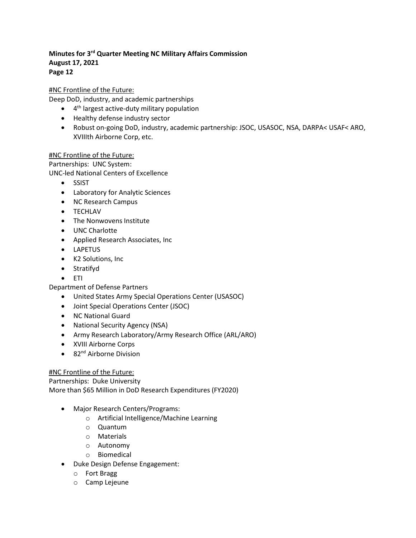# #NC Frontline of the Future:

Deep DoD, industry, and academic partnerships

- $\bullet$  4<sup>th</sup> largest active-duty military population
- Healthy defense industry sector
- Robust on-going DoD, industry, academic partnership: JSOC, USASOC, NSA, DARPA< USAF< ARO, XVIIIth Airborne Corp, etc.

#### #NC Frontline of the Future:

Partnerships: UNC System: UNC-led National Centers of Excellence

- SSIST
- Laboratory for Analytic Sciences
- NC Research Campus
- TECHLAV
- The Nonwovens Institute
- UNC Charlotte
- Applied Research Associates, Inc
- LAPETUS
- K2 Solutions, Inc
- Stratifyd
- ETI

Department of Defense Partners

- United States Army Special Operations Center (USASOC)
- Joint Special Operations Center (JSOC)
- NC National Guard
- National Security Agency (NSA)
- Army Research Laboratory/Army Research Office (ARL/ARO)
- XVIII Airborne Corps
- $\bullet$  82<sup>nd</sup> Airborne Division

#### #NC Frontline of the Future:

Partnerships: Duke University

More than \$65 Million in DoD Research Expenditures (FY2020)

- Major Research Centers/Programs:
	- o Artificial Intelligence/Machine Learning
	- o Quantum
	- o Materials
	- o Autonomy
	- o Biomedical
- Duke Design Defense Engagement:
	- o Fort Bragg
	- o Camp Lejeune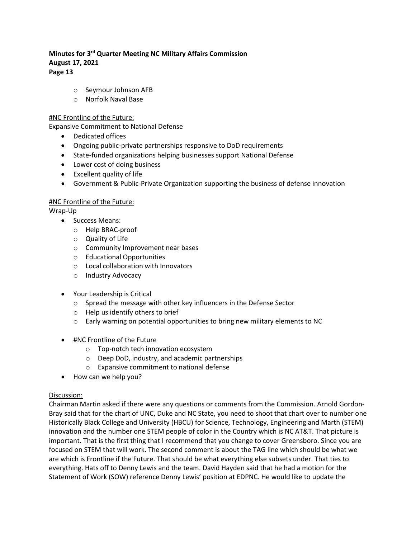- o Seymour Johnson AFB
- o Norfolk Naval Base

#### #NC Frontline of the Future:

Expansive Commitment to National Defense

- Dedicated offices
- Ongoing public-private partnerships responsive to DoD requirements
- State-funded organizations helping businesses support National Defense
- Lower cost of doing business
- Excellent quality of life
- Government & Public-Private Organization supporting the business of defense innovation

#### #NC Frontline of the Future:

Wrap-Up

- Success Means:
	- o Help BRAC-proof
	- o Quality of Life
	- o Community Improvement near bases
	- o Educational Opportunities
	- o Local collaboration with Innovators
	- o Industry Advocacy
- Your Leadership is Critical
	- o Spread the message with other key influencers in the Defense Sector
	- o Help us identify others to brief
	- o Early warning on potential opportunities to bring new military elements to NC
- #NC Frontline of the Future
	- o Top-notch tech innovation ecosystem
	- o Deep DoD, industry, and academic partnerships
	- o Expansive commitment to national defense
- How can we help you?

#### Discussion:

Chairman Martin asked if there were any questions or comments from the Commission. Arnold Gordon-Bray said that for the chart of UNC, Duke and NC State, you need to shoot that chart over to number one Historically Black College and University (HBCU) for Science, Technology, Engineering and Marth (STEM) innovation and the number one STEM people of color in the Country which is NC AT&T. That picture is important. That is the first thing that I recommend that you change to cover Greensboro. Since you are focused on STEM that will work. The second comment is about the TAG line which should be what we are which is Frontline if the Future. That should be what everything else subsets under. That ties to everything. Hats off to Denny Lewis and the team. David Hayden said that he had a motion for the Statement of Work (SOW) reference Denny Lewis' position at EDPNC. He would like to update the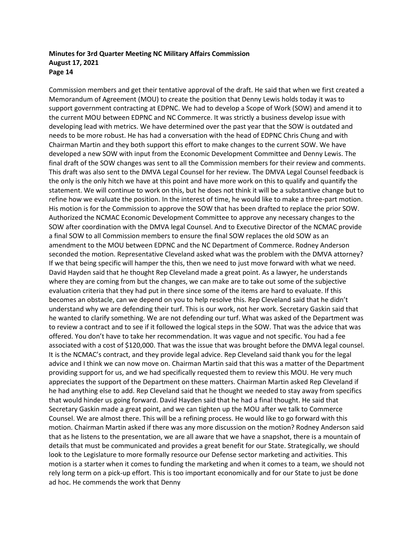Commission members and get their tentative approval of the draft. He said that when we first created a Memorandum of Agreement (MOU) to create the position that Denny Lewis holds today it was to support government contracting at EDPNC. We had to develop a Scope of Work (SOW) and amend it to the current MOU between EDPNC and NC Commerce. It was strictly a business develop issue with developing lead with metrics. We have determined over the past year that the SOW is outdated and needs to be more robust. He has had a conversation with the head of EDPNC Chris Chung and with Chairman Martin and they both support this effort to make changes to the current SOW. We have developed a new SOW with input from the Economic Development Committee and Denny Lewis. The final draft of the SOW changes was sent to all the Commission members for their review and comments. This draft was also sent to the DMVA Legal Counsel for her review. The DMVA Legal Counsel feedback is the only is the only hitch we have at this point and have more work on this to qualify and quantify the statement. We will continue to work on this, but he does not think it will be a substantive change but to refine how we evaluate the position. In the interest of time, he would like to make a three-part motion. His motion is for the Commission to approve the SOW that has been drafted to replace the prior SOW. Authorized the NCMAC Economic Development Committee to approve any necessary changes to the SOW after coordination with the DMVA legal Counsel. And to Executive Director of the NCMAC provide a final SOW to all Commission members to ensure the final SOW replaces the old SOW as an amendment to the MOU between EDPNC and the NC Department of Commerce. Rodney Anderson seconded the motion. Representative Cleveland asked what was the problem with the DMVA attorney? If we that being specific will hamper the this, then we need to just move forward with what we need. David Hayden said that he thought Rep Cleveland made a great point. As a lawyer, he understands where they are coming from but the changes, we can make are to take out some of the subjective evaluation criteria that they had put in there since some of the items are hard to evaluate. If this becomes an obstacle, can we depend on you to help resolve this. Rep Cleveland said that he didn't understand why we are defending their turf. This is our work, not her work. Secretary Gaskin said that he wanted to clarify something. We are not defending our turf. What was asked of the Department was to review a contract and to see if it followed the logical steps in the SOW. That was the advice that was offered. You don't have to take her recommendation. It was vague and not specific. You had a fee associated with a cost of \$120,000. That was the issue that was brought before the DMVA legal counsel. It is the NCMAC's contract, and they provide legal advice. Rep Cleveland said thank you for the legal advice and I think we can now move on. Chairman Martin said that this was a matter of the Department providing support for us, and we had specifically requested them to review this MOU. He very much appreciates the support of the Department on these matters. Chairman Martin asked Rep Cleveland if he had anything else to add. Rep Cleveland said that he thought we needed to stay away from specifics that would hinder us going forward. David Hayden said that he had a final thought. He said that Secretary Gaskin made a great point, and we can tighten up the MOU after we talk to Commerce Counsel. We are almost there. This will be a refining process. He would like to go forward with this motion. Chairman Martin asked if there was any more discussion on the motion? Rodney Anderson said that as he listens to the presentation, we are all aware that we have a snapshot, there is a mountain of details that must be communicated and provides a great benefit for our State. Strategically, we should look to the Legislature to more formally resource our Defense sector marketing and activities. This motion is a starter when it comes to funding the marketing and when it comes to a team, we should not rely long term on a pick-up effort. This is too important economically and for our State to just be done ad hoc. He commends the work that Denny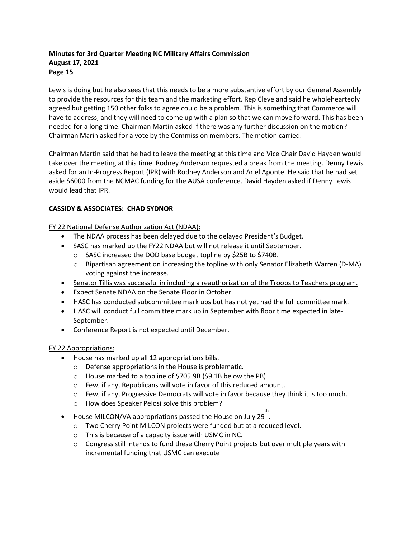Lewis is doing but he also sees that this needs to be a more substantive effort by our General Assembly to provide the resources for this team and the marketing effort. Rep Cleveland said he wholeheartedly agreed but getting 150 other folks to agree could be a problem. This is something that Commerce will have to address, and they will need to come up with a plan so that we can move forward. This has been needed for a long time. Chairman Martin asked if there was any further discussion on the motion? Chairman Marin asked for a vote by the Commission members. The motion carried.

Chairman Martin said that he had to leave the meeting at this time and Vice Chair David Hayden would take over the meeting at this time. Rodney Anderson requested a break from the meeting. Denny Lewis asked for an In-Progress Report (IPR) with Rodney Anderson and Ariel Aponte. He said that he had set aside \$6000 from the NCMAC funding for the AUSA conference. David Hayden asked if Denny Lewis would lead that IPR.

#### **CASSIDY & ASSOCIATES: CHAD SYDNOR**

FY 22 National Defense Authorization Act (NDAA):

- The NDAA process has been delayed due to the delayed President's Budget.
- SASC has marked up the FY22 NDAA but will not release it until September.
	- o SASC increased the DOD base budget topline by \$25B to \$740B.
	- o Bipartisan agreement on increasing the topline with only Senator Elizabeth Warren (D-MA) voting against the increase.
- Senator Tillis was successful in including a reauthorization of the Troops to Teachers program.
- Expect Senate NDAA on the Senate Floor in October
- HASC has conducted subcommittee mark ups but has not yet had the full committee mark.
- HASC will conduct full committee mark up in September with floor time expected in late-September.
- Conference Report is not expected until December.

#### FY 22 Appropriations:

- House has marked up all 12 appropriations bills.
	- o Defense appropriations in the House is problematic.
	- o House marked to a topline of \$705.9B (\$9.1B below the PB)
	- o Few, if any, Republicans will vote in favor of this reduced amount.
	- $\circ$  Few, if any, Progressive Democrats will vote in favor because they think it is too much.
	- o How does Speaker Pelosi solve this problem?
- ■<br>■ House MILCON/VA appropriations passed the House on July 29.
	- o Two Cherry Point MILCON projects were funded but at a reduced level.
	- o This is because of a capacity issue with USMC in NC.
	- $\circ$  Congress still intends to fund these Cherry Point projects but over multiple years with incremental funding that USMC can execute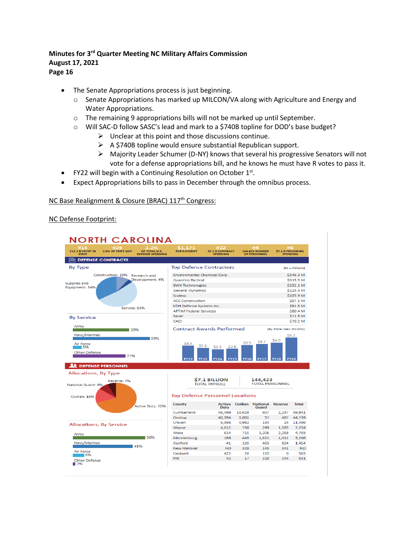The Senate Appropriations process is just beginning.

- o Senate Appropriations has marked up MILCON/VA along with Agriculture and Energy and Water Appropriations.
- $\circ$  The remaining 9 appropriations bills will not be marked up until September.
- o Will SAC-D follow SASC's lead and mark to a \$740B topline for DOD's base budget?
	- $\triangleright$  Unclear at this point and those discussions continue.
	- $\triangleright$  A \$740B topline would ensure substantial Republican support.
	- $\triangleright$  Majority Leader Schumer (D-NY) knows that several his progressive Senators will not vote for a defense appropriations bill, and he knows he must have R votes to pass it.
- FY22 will begin with a Continuing Resolution on October 1st.
- Expect Appropriations bills to pass in December through the omnibus process.

#### NC Base Realignment & Closure (BRAC) 117<sup>th</sup> Congress:

#### NC Defense Footprint:

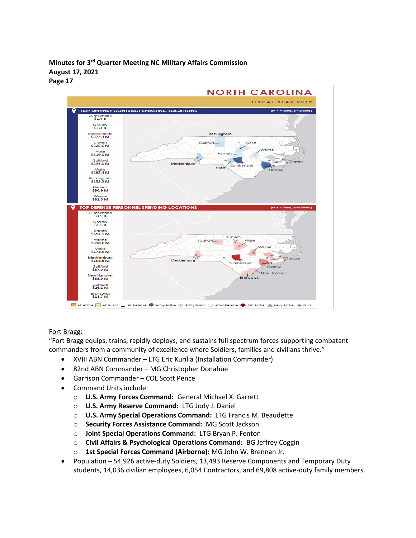

#### Fort Bragg:

"Fort Bragg equips, trains, rapidly deploys, and sustains full spectrum forces supporting combatant commanders from a community of excellence where Soldiers, families and civilians thrive."

- XVIII ABN Commander LTG Eric Kurilla (Installation Commander)
- 82nd ABN Commander MG Christopher Donahue
- Garrison Commander COL Scott Pence
- Command Units include:
	- o **U.S. Army Forces Command:** General Michael X. Garrett
	- o **U.S. Army Reserve Command:** LTG Jody J. Daniel
	- o **U.S. Army Special Operations Command:** LTG Francis M. Beaudette
	- o **Security Forces Assistance Command:** MG Scott Jackson
	- o **Joint Special Operations Command:** LTG Bryan P. Fenton
	- o **Civil Affairs & Psychological Operations Command:** BG Jeffrey Coggin
	- o **1st Special Forces Command (Airborne):** MG John W. Brennan Jr.
- Population 54,926 active-duty Soldiers, 13,493 Reserve Components and Temporary Duty students, 14,036 civilian employees, 6,054 Contractors, and 69,808 active-duty family members.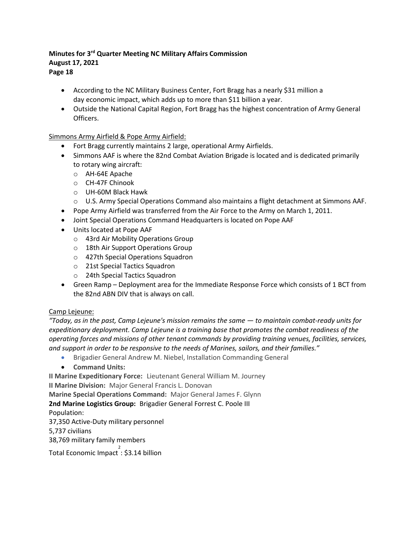**Page 18**

- According to the NC Military Business Center, Fort Bragg has a nearly \$31 million a day economic impact, which adds up to more than \$11 billion a year.
- Outside the National Capital Region, Fort Bragg has the highest concentration of Army General Officers.

# Simmons Army Airfield & Pope Army Airfield:

- Fort Bragg currently maintains 2 large, operational Army Airfields.
- Simmons AAF is where the 82nd Combat Aviation Brigade is located and is dedicated primarily to rotary wing aircraft:
	- o AH-64E Apache
	- o CH-47F Chinook
	- o UH-60M Black Hawk
	- o U.S. Army Special Operations Command also maintains a flight detachment at Simmons AAF.
- Pope Army Airfield was transferred from the Air Force to the Army on March 1, 2011.
- Joint Special Operations Command Headquarters is located on Pope AAF
- Units located at Pope AAF
	- o 43rd Air Mobility Operations Group
	- o 18th Air Support Operations Group
	- o 427th Special Operations Squadron
	- o 21st Special Tactics Squadron
	- o 24th Special Tactics Squadron
- Green Ramp Deployment area for the Immediate Response Force which consists of 1 BCT from the 82nd ABN DIV that is always on call.

# Camp Lejeune:

*"Today, as in the past, Camp Lejeune's mission remains the same — to maintain combat-ready units for expeditionary deployment. Camp Lejeune is a training base that promotes the combat readiness of the operating forces and missions of other tenant commands by providing training venues, facilities, services, and support in order to be responsive to the needs of Marines, sailors, and their families."*

- Brigadier General Andrew M. Niebel, Installation Commanding General
- **Command Units:**

**II Marine Expeditionary Force:** Lieutenant General William M. Journey

**II Marine Division:** Major General Francis L. Donovan

**Marine Special Operations Command:** Major General James F. Glynn

**2nd Marine Logistics Group:** Brigadier General Forrest C. Poole III

Population:

37,350 Active-Duty military personnel

5,737 civilians

38,769 military family members

Total Economic Impact  $\overline{\phantom{a}}$ : \$3.14 billion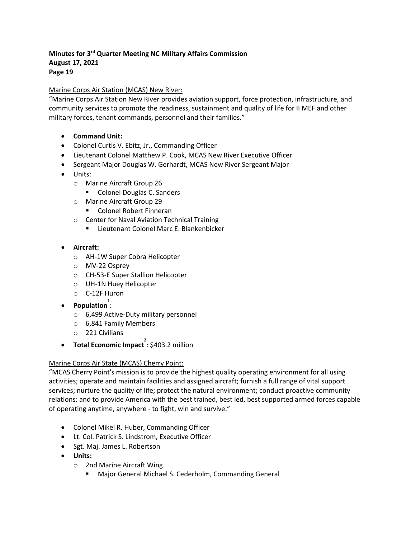#### Marine Corps Air Station (MCAS) New River:

"Marine Corps Air Station New River provides aviation support, force protection, infrastructure, and community services to promote the readiness, sustainment and quality of life for II MEF and other military forces, tenant commands, personnel and their families."

- **Command Unit:**
- Colonel Curtis V. Ebitz, Jr., Commanding Officer
- Lieutenant Colonel Matthew P. Cook, MCAS New River Executive Officer
- Sergeant Major Douglas W. Gerhardt, MCAS New River Sergeant Major
- Units:
	- o Marine Aircraft Group 26
		- Colonel Douglas C. Sanders
	- o Marine Aircraft Group 29
		- Colonel Robert Finneran
	- o Center for Naval Aviation Technical Training
		- **E.** Lieutenant Colonel Marc E. Blankenbicker
- **Aircraft:**
	- o AH-1W Super Cobra Helicopter
	- o MV-22 Osprey
	- o CH-53-E Super Stallion Helicopter
	- o UH-1N Huey Helicopter
	- o C-12F Huron
- **Population**:
	- o 6,499 Active-Duty military personnel
	- o 6,841 Family Members
	- o 221 Civilians
- **Total Economic Impact** : \$403.2 million

#### Marine Corps Air State (MCAS) Cherry Point:

"MCAS Cherry Point's mission is to provide the highest quality operating environment for all using activities; operate and maintain facilities and assigned aircraft; furnish a full range of vital support services; nurture the quality of life; protect the natural environment; conduct proactive community relations; and to provide America with the best trained, best led, best supported armed forces capable of operating anytime, anywhere - to fight, win and survive."

- Colonel Mikel R. Huber, Commanding Officer
- Lt. Col. Patrick S. Lindstrom, Executive Officer
- Sgt. Maj. James L. Robertson
- **Units:**
	- o 2nd Marine Aircraft Wing
		- **Major General Michael S. Cederholm, Commanding General**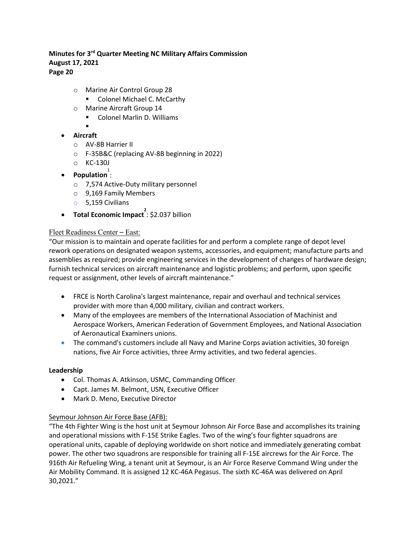- o Marine Air Control Group 28
	- Colonel Michael C. McCarthy
- o Marine Aircraft Group 14
	- **E** Colonel Marlin D. Williams
	- .
- **Aircraft**
	- o AV-8B Harrier II
	- o F-35B&C (replacing AV-8B beginning in 2022)
	- o KC-130J
- **Population**:
	- o 7,574 Active-Duty military personnel
	- o 9,169 Family Members
	- o 5,159 Civilians
- **Total Economic Impact** : \$2.037 billion

#### Fleet Readiness Center – East:

"Our mission is to maintain and operate facilities for and perform a complete range of depot level rework operations on designated weapon systems, accessories, and equipment; manufacture parts and assemblies as required; provide engineering services in the development of changes of hardware design; furnish technical services on aircraft maintenance and logistic problems; and perform, upon specific request or assignment, other levels of aircraft maintenance."

- FRCE is North Carolina's largest maintenance, repair and overhaul and technical services provider with more than 4,000 military, civilian and contract workers.
- Many of the employees are members of the International Association of Machinist and Aerospace Workers, American Federation of Government Employees, and National Association of Aeronautical Examiners unions.
- The command's customers include all Navy and Marine Corps aviation activities, 30 foreign nations, five Air Force activities, three Army activities, and two federal agencies.

#### **Leadership**

- Col. Thomas A. Atkinson, USMC, Commanding Officer
- Capt. James M. Belmont, USN, Executive Officer
- Mark D. Meno, Executive Director

# Seymour Johnson Air Force Base (AFB):

"The 4th Fighter Wing is the host unit at Seymour Johnson Air Force Base and accomplishes its training and operational missions with F-15E Strike Eagles. Two of the wing's four fighter squadrons are operational units, capable of deploying worldwide on short notice and immediately generating combat power. The other two squadrons are responsible for training all F-15E aircrews for the Air Force. The 916th Air Refueling Wing, a tenant unit at Seymour, is an Air Force Reserve Command Wing under the Air Mobility Command. It is assigned 12 KC-46A Pegasus. The sixth KC-46A was delivered on April 30,2021."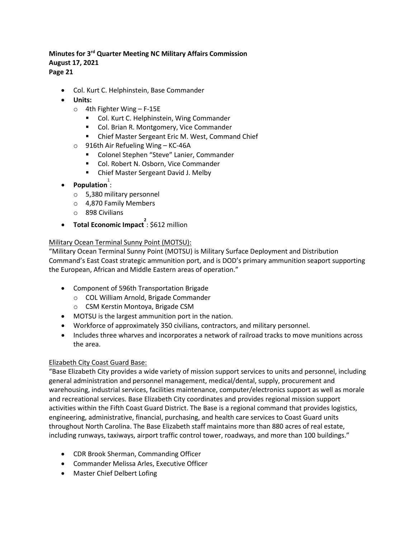**Page 21**

- Col. Kurt C. Helphinstein, Base Commander
- **Units:**
	- o 4th Fighter Wing F-15E
		- **Col. Kurt C. Helphinstein, Wing Commander**
		- Col. Brian R. Montgomery, Vice Commander
		- **E** Chief Master Sergeant Eric M. West, Command Chief
	- o 916th Air Refueling Wing KC-46A
		- **EXECOLONEE Stephen "Steve" Lanier, Commander**
		- Col. Robert N. Osborn, Vice Commander
		- **E** Chief Master Sergeant David J. Melby
- **Population**:
	- o 5,380 military personnel
	- o 4,870 Family Members
	- o 898 Civilians
- **Total Economic Impact** <sup>2</sup>: \$612 million

#### Military Ocean Terminal Sunny Point (MOTSU):

"Military Ocean Terminal Sunny Point (MOTSU) is Military Surface Deployment and Distribution Command's East Coast strategic ammunition port, and is DOD's primary ammunition seaport supporting the European, African and Middle Eastern areas of operation."

- Component of 596th Transportation Brigade
	- o COL William Arnold, Brigade Commander
	- o CSM Kerstin Montoya, Brigade CSM
- MOTSU is the largest ammunition port in the nation.
- Workforce of approximately 350 civilians, contractors, and military personnel.
- Includes three wharves and incorporates a network of railroad tracks to move munitions across the area.

#### Elizabeth City Coast Guard Base:

"Base Elizabeth City provides a wide variety of mission support services to units and personnel, including general administration and personnel management, medical/dental, supply, procurement and warehousing, industrial services, facilities maintenance, computer/electronics support as well as morale and recreational services. Base Elizabeth City coordinates and provides regional mission support activities within the Fifth Coast Guard District. The Base is a regional command that provides logistics, engineering, administrative, financial, purchasing, and health care services to Coast Guard units throughout North Carolina. The Base Elizabeth staff maintains more than 880 acres of real estate, including runways, taxiways, airport traffic control tower, roadways, and more than 100 buildings."

- CDR Brook Sherman, Commanding Officer
- Commander Melissa Arles, Executive Officer
- Master Chief Delbert Lofing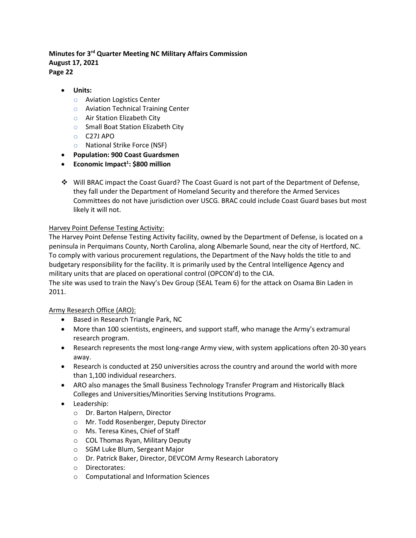• **Units:**

- o Aviation Logistics Center
- o Aviation Technical Training Center
- o Air Station Elizabeth City
- o Small Boat Station Elizabeth City
- o C27J APO
- o National Strike Force (NSF)
- **Population: 900 Coast Guardsmen**
- **Economic Impact1 : \$800 million**
- Will BRAC impact the Coast Guard? The Coast Guard is not part of the Department of Defense, they fall under the Department of Homeland Security and therefore the Armed Services Committees do not have jurisdiction over USCG. BRAC could include Coast Guard bases but most likely it will not.

#### Harvey Point Defense Testing Activity:

The Harvey Point Defense Testing Activity facility, owned by the Department of Defense, is located on a peninsula in Perquimans County, North Carolina, along Albemarle Sound, near the city of Hertford, NC. To comply with various procurement regulations, the Department of the Navy holds the title to and budgetary responsibility for the facility. It is primarily used by the Central Intelligence Agency and military units that are placed on operational control (OPCON'd) to the CIA.

The site was used to train the Navy's Dev Group (SEAL Team 6) for the attack on Osama Bin Laden in 2011.

#### Army Research Office (ARO):

- Based in Research Triangle Park, NC
- More than 100 scientists, engineers, and support staff, who manage the Army's extramural research program.
- Research represents the most long-range Army view, with system applications often 20-30 years away.
- Research is conducted at 250 universities across the country and around the world with more than 1,100 individual researchers.
- ARO also manages the Small Business Technology Transfer Program and Historically Black Colleges and Universities/Minorities Serving Institutions Programs.
- Leadership:
	- o Dr. Barton Halpern, Director
	- o Mr. Todd Rosenberger, Deputy Director
	- o Ms. Teresa Kines, Chief of Staff
	- o COL Thomas Ryan, Military Deputy
	- o SGM Luke Blum, Sergeant Major
	- o Dr. Patrick Baker, Director, DEVCOM Army Research Laboratory
	- o Directorates:
	- o Computational and Information Sciences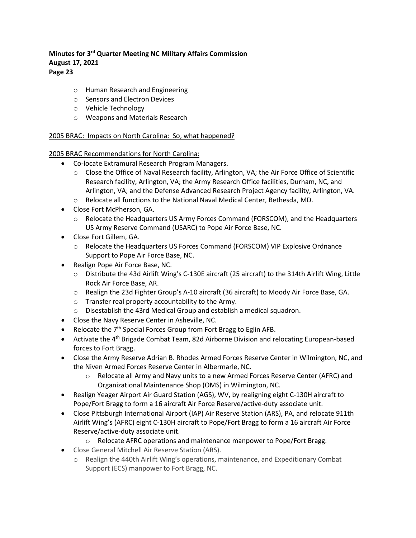- o Human Research and Engineering
- o Sensors and Electron Devices
- o Vehicle Technology
- o Weapons and Materials Research

#### 2005 BRAC: Impacts on North Carolina: So, what happened?

2005 BRAC Recommendations for North Carolina:

- Co-locate Extramural Research Program Managers.
	- o Close the Office of Naval Research facility, Arlington, VA; the Air Force Office of Scientific Research facility, Arlington, VA; the Army Research Office facilities, Durham, NC, and Arlington, VA; and the Defense Advanced Research Project Agency facility, Arlington, VA.
	- o Relocate all functions to the National Naval Medical Center, Bethesda, MD.
- Close Fort McPherson, GA.
	- o Relocate the Headquarters US Army Forces Command (FORSCOM), and the Headquarters US Army Reserve Command (USARC) to Pope Air Force Base, NC.
- Close Fort Gillem, GA.
	- o Relocate the Headquarters US Forces Command (FORSCOM) VIP Explosive Ordnance Support to Pope Air Force Base, NC.
- Realign Pope Air Force Base, NC.
	- o Distribute the 43d Airlift Wing's C-130E aircraft (25 aircraft) to the 314th Airlift Wing, Little Rock Air Force Base, AR.
	- o Realign the 23d Fighter Group's A-10 aircraft (36 aircraft) to Moody Air Force Base, GA.
	- o Transfer real property accountability to the Army.
	- o Disestablish the 43rd Medical Group and establish a medical squadron.
- Close the Navy Reserve Center in Asheville, NC.
- Relocate the  $7<sup>th</sup>$  Special Forces Group from Fort Bragg to Eglin AFB.
- Activate the 4<sup>th</sup> Brigade Combat Team, 82d Airborne Division and relocating European-based forces to Fort Bragg.
- Close the Army Reserve Adrian B. Rhodes Armed Forces Reserve Center in Wilmington, NC, and the Niven Armed Forces Reserve Center in Albermarle, NC.
	- o Relocate all Army and Navy units to a new Armed Forces Reserve Center (AFRC) and Organizational Maintenance Shop (OMS) in Wilmington, NC.
- Realign Yeager Airport Air Guard Station (AGS), WV, by realigning eight C-130H aircraft to Pope/Fort Bragg to form a 16 aircraft Air Force Reserve/active-duty associate unit.
- Close Pittsburgh International Airport (IAP) Air Reserve Station (ARS), PA, and relocate 911th Airlift Wing's (AFRC) eight C-130H aircraft to Pope/Fort Bragg to form a 16 aircraft Air Force Reserve/active-duty associate unit.
	- o Relocate AFRC operations and maintenance manpower to Pope/Fort Bragg.
- Close General Mitchell Air Reserve Station (ARS).
	- o Realign the 440th Airlift Wing's operations, maintenance, and Expeditionary Combat Support (ECS) manpower to Fort Bragg, NC.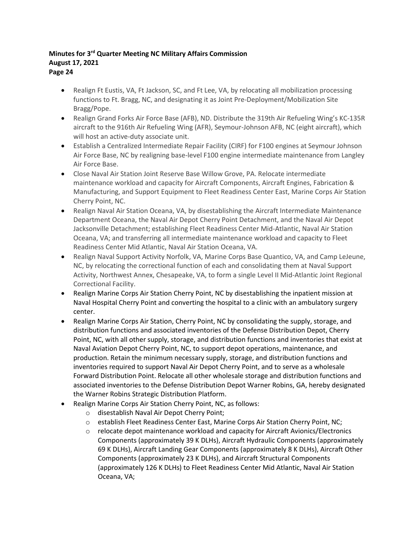- Realign Ft Eustis, VA, Ft Jackson, SC, and Ft Lee, VA, by relocating all mobilization processing functions to Ft. Bragg, NC, and designating it as Joint Pre-Deployment/Mobilization Site Bragg/Pope.
- Realign Grand Forks Air Force Base (AFB), ND. Distribute the 319th Air Refueling Wing's KC-135R aircraft to the 916th Air Refueling Wing (AFR), Seymour-Johnson AFB, NC (eight aircraft), which will host an active-duty associate unit.
- Establish a Centralized Intermediate Repair Facility (CIRF) for F100 engines at Seymour Johnson Air Force Base, NC by realigning base-level F100 engine intermediate maintenance from Langley Air Force Base.
- Close Naval Air Station Joint Reserve Base Willow Grove, PA. Relocate intermediate maintenance workload and capacity for Aircraft Components, Aircraft Engines, Fabrication & Manufacturing, and Support Equipment to Fleet Readiness Center East, Marine Corps Air Station Cherry Point, NC.
- Realign Naval Air Station Oceana, VA, by disestablishing the Aircraft Intermediate Maintenance Department Oceana, the Naval Air Depot Cherry Point Detachment, and the Naval Air Depot Jacksonville Detachment; establishing Fleet Readiness Center Mid-Atlantic, Naval Air Station Oceana, VA; and transferring all intermediate maintenance workload and capacity to Fleet Readiness Center Mid Atlantic, Naval Air Station Oceana, VA.
- Realign Naval Support Activity Norfolk, VA, Marine Corps Base Quantico, VA, and Camp LeJeune, NC, by relocating the correctional function of each and consolidating them at Naval Support Activity, Northwest Annex, Chesapeake, VA, to form a single Level II Mid-Atlantic Joint Regional Correctional Facility.
- Realign Marine Corps Air Station Cherry Point, NC by disestablishing the inpatient mission at Naval Hospital Cherry Point and converting the hospital to a clinic with an ambulatory surgery center.
- Realign Marine Corps Air Station, Cherry Point, NC by consolidating the supply, storage, and distribution functions and associated inventories of the Defense Distribution Depot, Cherry Point, NC, with all other supply, storage, and distribution functions and inventories that exist at Naval Aviation Depot Cherry Point, NC, to support depot operations, maintenance, and production. Retain the minimum necessary supply, storage, and distribution functions and inventories required to support Naval Air Depot Cherry Point, and to serve as a wholesale Forward Distribution Point. Relocate all other wholesale storage and distribution functions and associated inventories to the Defense Distribution Depot Warner Robins, GA, hereby designated the Warner Robins Strategic Distribution Platform.
- Realign Marine Corps Air Station Cherry Point, NC, as follows:
	- o disestablish Naval Air Depot Cherry Point;
	- o establish Fleet Readiness Center East, Marine Corps Air Station Cherry Point, NC;
	- $\circ$  relocate depot maintenance workload and capacity for Aircraft Avionics/Electronics Components (approximately 39 K DLHs), Aircraft Hydraulic Components (approximately 69 K DLHs), Aircraft Landing Gear Components (approximately 8 K DLHs), Aircraft Other Components (approximately 23 K DLHs), and Aircraft Structural Components (approximately 126 K DLHs) to Fleet Readiness Center Mid Atlantic, Naval Air Station Oceana, VA;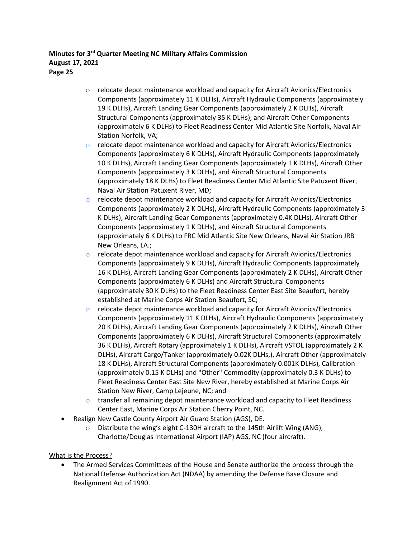- o relocate depot maintenance workload and capacity for Aircraft Avionics/Electronics Components (approximately 11 K DLHs), Aircraft Hydraulic Components (approximately 19 K DLHs), Aircraft Landing Gear Components (approximately 2 K DLHs), Aircraft Structural Components (approximately 35 K DLHs), and Aircraft Other Components (approximately 6 K DLHs) to Fleet Readiness Center Mid Atlantic Site Norfolk, Naval Air Station Norfolk, VA;
- $\circ$  relocate depot maintenance workload and capacity for Aircraft Avionics/Electronics Components (approximately 6 K DLHs), Aircraft Hydraulic Components (approximately 10 K DLHs), Aircraft Landing Gear Components (approximately 1 K DLHs), Aircraft Other Components (approximately 3 K DLHs), and Aircraft Structural Components (approximately 18 K DLHs) to Fleet Readiness Center Mid Atlantic Site Patuxent River, Naval Air Station Patuxent River, MD;
- $\circ$  relocate depot maintenance workload and capacity for Aircraft Avionics/Electronics Components (approximately 2 K DLHs), Aircraft Hydraulic Components (approximately 3 K DLHs), Aircraft Landing Gear Components (approximately 0.4K DLHs), Aircraft Other Components (approximately 1 K DLHs), and Aircraft Structural Components (approximately 6 K DLHs) to FRC Mid Atlantic Site New Orleans, Naval Air Station JRB New Orleans, LA.;
- $\circ$  relocate depot maintenance workload and capacity for Aircraft Avionics/Electronics Components (approximately 9 K DLHs), Aircraft Hydraulic Components (approximately 16 K DLHs), Aircraft Landing Gear Components (approximately 2 K DLHs), Aircraft Other Components (approximately 6 K DLHs) and Aircraft Structural Components (approximately 30 K DLHs) to the Fleet Readiness Center East Site Beaufort, hereby established at Marine Corps Air Station Beaufort, SC;
- $\circ$  relocate depot maintenance workload and capacity for Aircraft Avionics/Electronics Components (approximately 11 K DLHs), Aircraft Hydraulic Components (approximately 20 K DLHs), Aircraft Landing Gear Components (approximately 2 K DLHs), Aircraft Other Components (approximately 6 K DLHs), Aircraft Structural Components (approximately 36 K DLHs), Aircraft Rotary (approximately 1 K DLHs), Aircraft VSTOL (approximately 2 K DLHs), Aircraft Cargo/Tanker (approximately 0.02K DLHs,), Aircraft Other (approximately 18 K DLHs), Aircraft Structural Components (approximately 0.001K DLHs), Calibration (approximately 0.15 K DLHs) and "Other" Commodity (approximately 0.3 K DLHs) to Fleet Readiness Center East Site New River, hereby established at Marine Corps Air Station New River, Camp Lejeune, NC; and
- $\circ$  transfer all remaining depot maintenance workload and capacity to Fleet Readiness Center East, Marine Corps Air Station Cherry Point, NC.
- Realign New Castle County Airport Air Guard Station (AGS), DE.
	- o Distribute the wing's eight C-130H aircraft to the 145th Airlift Wing (ANG), Charlotte/Douglas International Airport (IAP) AGS, NC (four aircraft).

# What is the Process?

• The Armed Services Committees of the House and Senate authorize the process through the National Defense Authorization Act (NDAA) by amending the Defense Base Closure and Realignment Act of 1990.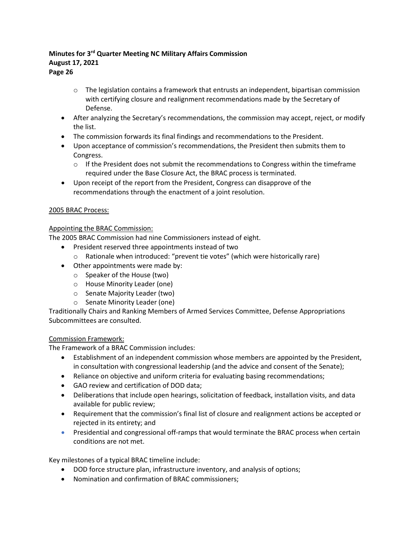**Page 26**

- o The legislation contains a framework that entrusts an independent, bipartisan commission with certifying closure and realignment recommendations made by the Secretary of Defense.
- After analyzing the Secretary's recommendations, the commission may accept, reject, or modify the list.
- The commission forwards its final findings and recommendations to the President.
- Upon acceptance of commission's recommendations, the President then submits them to Congress.
	- $\circ$  If the President does not submit the recommendations to Congress within the timeframe required under the Base Closure Act, the BRAC process is terminated.
- Upon receipt of the report from the President, Congress can disapprove of the recommendations through the enactment of a joint resolution.

#### 2005 BRAC Process:

#### Appointing the BRAC Commission:

The 2005 BRAC Commission had nine Commissioners instead of eight.

- President reserved three appointments instead of two
- o Rationale when introduced: "prevent tie votes" (which were historically rare)
- Other appointments were made by:
	- o Speaker of the House (two)
	- o House Minority Leader (one)
	- o Senate Majority Leader (two)
	- o Senate Minority Leader (one)

Traditionally Chairs and Ranking Members of Armed Services Committee, Defense Appropriations Subcommittees are consulted.

#### Commission Framework:

The Framework of a BRAC Commission includes:

- Establishment of an independent commission whose members are appointed by the President, in consultation with congressional leadership (and the advice and consent of the Senate);
- Reliance on objective and uniform criteria for evaluating basing recommendations;
- GAO review and certification of DOD data;
- Deliberations that include open hearings, solicitation of feedback, installation visits, and data available for public review;
- Requirement that the commission's final list of closure and realignment actions be accepted or rejected in its entirety; and
- Presidential and congressional off-ramps that would terminate the BRAC process when certain conditions are not met.

Key milestones of a typical BRAC timeline include:

- DOD force structure plan, infrastructure inventory, and analysis of options;
- Nomination and confirmation of BRAC commissioners;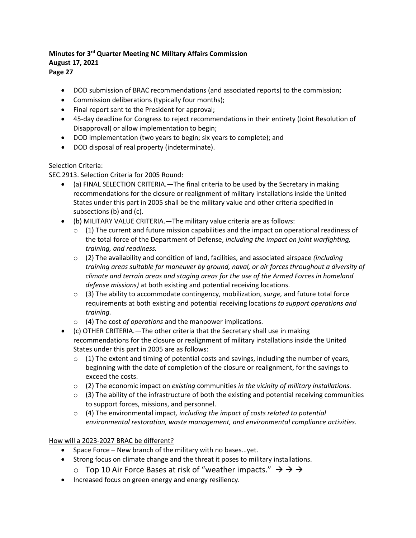**Page 27**

- DOD submission of BRAC recommendations (and associated reports) to the commission;
- Commission deliberations (typically four months);
- Final report sent to the President for approval;
- 45-day deadline for Congress to reject recommendations in their entirety (Joint Resolution of Disapproval) or allow implementation to begin;
- DOD implementation (two years to begin; six years to complete); and
- DOD disposal of real property (indeterminate).

# Selection Criteria:

SEC.2913. Selection Criteria for 2005 Round:

- (a) FINAL SELECTION CRITERIA.—The final criteria to be used by the Secretary in making recommendations for the closure or realignment of military installations inside the United States under this part in 2005 shall be the military value and other criteria specified in subsections (b) and (c).
- (b) MILITARY VALUE CRITERIA.—The military value criteria are as follows:
	- $\circ$  (1) The current and future mission capabilities and the impact on operational readiness of the total force of the Department of Defense, *including the impact on joint warfighting, training, and readiness.*
	- o (2) The availability and condition of land, facilities, and associated airspace *(including training areas suitable for maneuver by ground, naval, or air forces throughout a diversity of climate and terrain areas and staging areas for the use of the Armed Forces in homeland defense missions)* at both existing and potential receiving locations.
	- o (3) The ability to accommodate contingency, mobilization, *surge,* and future total force requirements at both existing and potential receiving locations *to support operations and training.*
	- o (4) The cost *of operations* and the manpower implications.
- (c) OTHER CRITERIA.—The other criteria that the Secretary shall use in making recommendations for the closure or realignment of military installations inside the United States under this part in 2005 are as follows:
	- $\circ$  (1) The extent and timing of potential costs and savings, including the number of years, beginning with the date of completion of the closure or realignment, for the savings to exceed the costs.
	- o (2) The economic impact on *existing* communities *in the vicinity of military installations.*
	- $\circ$  (3) The ability of the infrastructure of both the existing and potential receiving communities to support forces, missions, and personnel.
	- o (4) The environmental impact*, including the impact of costs related to potential environmental restoration, waste management, and environmental compliance activities.*

How will a 2023-2027 BRAC be different?

- Space Force New branch of the military with no bases…yet.
- Strong focus on climate change and the threat it poses to military installations.
	- $\circ$  Top 10 Air Force Bases at risk of "weather impacts."  $\rightarrow$   $\rightarrow$   $\rightarrow$
- Increased focus on green energy and energy resiliency.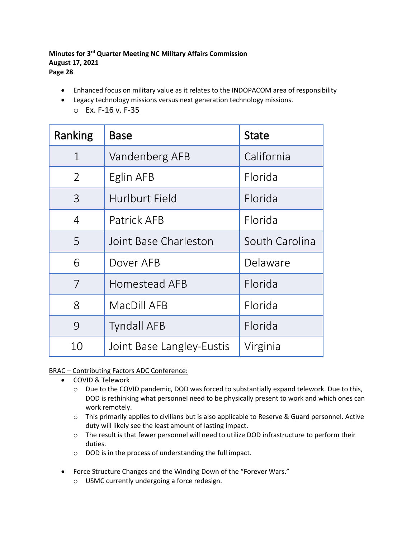- Enhanced focus on military value as it relates to the INDOPACOM area of responsibility
- Legacy technology missions versus next generation technology missions.
	- o Ex. F-16 v. F-35

| Ranking        | Base                      | <b>State</b>   |  |
|----------------|---------------------------|----------------|--|
| $\mathbf{1}$   | Vandenberg AFB            | California     |  |
| $\overline{2}$ | Eglin AFB                 | Florida        |  |
| 3              | Hurlburt Field            | Florida        |  |
| $\overline{4}$ | Patrick AFB               | Florida        |  |
| 5              | Joint Base Charleston     | South Carolina |  |
| 6              | Dover AFB                 | Delaware       |  |
| 7              | Homestead AFB             | Florida        |  |
| 8              | MacDill AFB               | Florida        |  |
| 9              | <b>Tyndall AFB</b>        | Florida        |  |
| 10             | Joint Base Langley-Eustis | Virginia       |  |

# BRAC – Contributing Factors ADC Conference:

- COVID & Telework
	- o Due to the COVID pandemic, DOD was forced to substantially expand telework. Due to this, DOD is rethinking what personnel need to be physically present to work and which ones can work remotely.
	- o This primarily applies to civilians but is also applicable to Reserve & Guard personnel. Active duty will likely see the least amount of lasting impact.
	- o The result is that fewer personnel will need to utilize DOD infrastructure to perform their duties.
	- o DOD is in the process of understanding the full impact.
- Force Structure Changes and the Winding Down of the "Forever Wars."
	- o USMC currently undergoing a force redesign.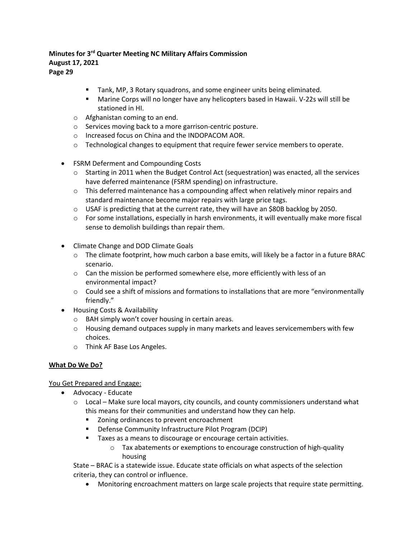#### **Tank, MP, 3 Rotary squadrons, and some engineer units being eliminated.**

- Marine Corps will no longer have any helicopters based in Hawaii. V-22s will still be stationed in HI.
- o Afghanistan coming to an end.
- o Services moving back to a more garrison-centric posture.
- o Increased focus on China and the INDOPACOM AOR.
- o Technological changes to equipment that require fewer service members to operate.
- FSRM Deferment and Compounding Costs
	- o Starting in 2011 when the Budget Control Act (sequestration) was enacted, all the services have deferred maintenance (FSRM spending) on infrastructure.
	- $\circ$  This deferred maintenance has a compounding affect when relatively minor repairs and standard maintenance become major repairs with large price tags.
	- o USAF is predicting that at the current rate, they will have an \$80B backlog by 2050.
	- $\circ$  For some installations, especially in harsh environments, it will eventually make more fiscal sense to demolish buildings than repair them.
- Climate Change and DOD Climate Goals
	- $\circ$  The climate footprint, how much carbon a base emits, will likely be a factor in a future BRAC scenario.
	- $\circ$  Can the mission be performed somewhere else, more efficiently with less of an environmental impact?
	- $\circ$  Could see a shift of missions and formations to installations that are more "environmentally friendly."
- Housing Costs & Availability
	- o BAH simply won't cover housing in certain areas.
	- $\circ$  Housing demand outpaces supply in many markets and leaves servicemembers with few choices.
	- o Think AF Base Los Angeles.

#### **What Do We Do?**

You Get Prepared and Engage:

- Advocacy Educate
	- $\circ$  Local Make sure local mayors, city councils, and county commissioners understand what this means for their communities and understand how they can help.
		- **EXECONING** Zoning ordinances to prevent encroachment
		- **•** Defense Community Infrastructure Pilot Program (DCIP)
		- **Taxes as a means to discourage or encourage certain activities.** 
			- o Tax abatements or exemptions to encourage construction of high-quality housing

State – BRAC is a statewide issue. Educate state officials on what aspects of the selection criteria, they can control or influence.

• Monitoring encroachment matters on large scale projects that require state permitting.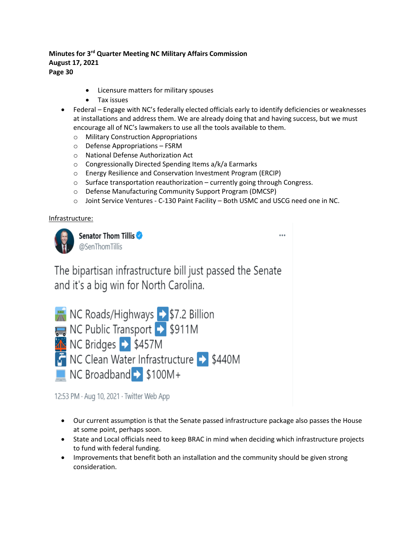- Licensure matters for military spouses
- Tax issues
- Federal Engage with NC's federally elected officials early to identify deficiencies or weaknesses at installations and address them. We are already doing that and having success, but we must encourage all of NC's lawmakers to use all the tools available to them.
	- o Military Construction Appropriations
	- o Defense Appropriations FSRM
	- o National Defense Authorization Act
	- o Congressionally Directed Spending Items a/k/a Earmarks
	- o Energy Resilience and Conservation Investment Program (ERCIP)
	- o Surface transportation reauthorization currently going through Congress.
	- o Defense Manufacturing Community Support Program (DMCSP)
	- o Joint Service Ventures C-130 Paint Facility Both USMC and USCG need one in NC.

#### Infrastructure:



Senator Thom Tillis @SenThomTillis

The bipartisan infrastructure bill just passed the Senate and it's a big win for North Carolina.

| NC Roads/Highways > \$7.2 Billion             |
|-----------------------------------------------|
| NC Public Transport $\rightarrow$ \$911M      |
| $\frac{1}{2}$ NC Bridges $\rightarrow$ \$457M |
| NC Clean Water Infrastructure > \$440M        |
| NC Broadband > \$100M+                        |

12:53 PM · Aug 10, 2021 · Twitter Web App

- Our current assumption is that the Senate passed infrastructure package also passes the House at some point, perhaps soon.
- State and Local officials need to keep BRAC in mind when deciding which infrastructure projects to fund with federal funding.
- Improvements that benefit both an installation and the community should be given strong consideration.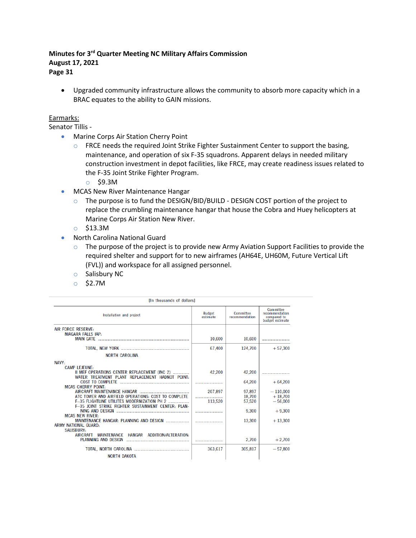• Upgraded community infrastructure allows the community to absorb more capacity which in a BRAC equates to the ability to GAIN missions.

#### Earmarks:

Senator Tillis -

- Marine Corps Air Station Cherry Point
	- o FRCE needs the required Joint Strike Fighter Sustainment Center to support the basing, maintenance, and operation of six F-35 squadrons. Apparent delays in needed military construction investment in depot facilities, like FRCE, may create readiness issues related to the F-35 Joint Strike Fighter Program.
		- o \$9.3M
- MCAS New River Maintenance Hangar
	- $\circ$  The purpose is to fund the DESIGN/BID/BUILD DESIGN COST portion of the project to replace the crumbling maintenance hangar that house the Cobra and Huey helicopters at Marine Corps Air Station New River.
	- o \$13.3M
- North Carolina National Guard
	- o The purpose of the project is to provide new Army Aviation Support Facilities to provide the required shelter and support for to new airframes (AH64E, UH60M, Future Vertical Lift (FVL)) and workspace for all assigned personnel.
	- o Salisbury NC
	- o \$2.7M

| <b>In thousands of dollars1</b>                                                                                         |                           |                             |                                                                      |
|-------------------------------------------------------------------------------------------------------------------------|---------------------------|-----------------------------|----------------------------------------------------------------------|
| Installation and project                                                                                                | <b>Budget</b><br>estimate | Committee<br>recommendation | <b>Committee</b><br>recommendation<br>compared to<br>budget estimate |
| <b>AIR FORCE RESERVE:</b>                                                                                               |                           |                             |                                                                      |
| <b>NIAGARA FALLS IAP:</b>                                                                                               | 10,600                    | 10,600                      |                                                                      |
|                                                                                                                         | 67,400                    | 124,700                     | $+57.300$                                                            |
| <b>NORTH CAROLINA</b>                                                                                                   |                           |                             |                                                                      |
| NAVY:                                                                                                                   |                           |                             |                                                                      |
| <b>CAMP LEJEUNE:</b><br>II MEF OPERATIONS CENTER REPLACEMENT (INC 2)<br>WATER TREATMENT PLANT REPLACEMENT HADNOT POINT: | 42,200                    | 42.200                      |                                                                      |
| COST TO COMPLETE <b>COMPLETE COST</b>                                                                                   |                           | 64.200                      | $+64.200$                                                            |
| <b>MCAS CHERRY POINT:</b><br>AIRCRAFT MAINTENANCE HANGAR<br>ATC TOWER AND AIRFIELD OPERATIONS: COST TO COMPLETE         | 207,897                   | 97,897                      | $-110,000$                                                           |
| <b>F-35 FLIGHTLINE UTILITES MODERNIZATION PH 2 </b><br>F-35 JOINT STRIKE FIGHTER SUSTAINMENT CENTER: PLAN-              | <br>113,520               | 18,700<br>57.520            | $+18,700$<br>$-56,000$                                               |
| <b>MCAS NEW RIVER:</b>                                                                                                  |                           | 9.300                       | $+9.300$                                                             |
| MAINTENANCE HANGAR: PLANNING AND DESIGN<br>ARMY NATIONAL GUARD-                                                         |                           | 13,300                      | $+13,300$                                                            |
| <b>SALISBURY:</b><br><b>MAINTENANCE</b><br>HANGAR ADDITION/ALTERATION:<br><b>AIRCRAFT</b>                               |                           | 2.700                       | $+2,700$                                                             |
|                                                                                                                         | 363,617                   | 305,817                     | $-57,800$                                                            |
| <b>NORTH DAKOTA</b>                                                                                                     |                           |                             |                                                                      |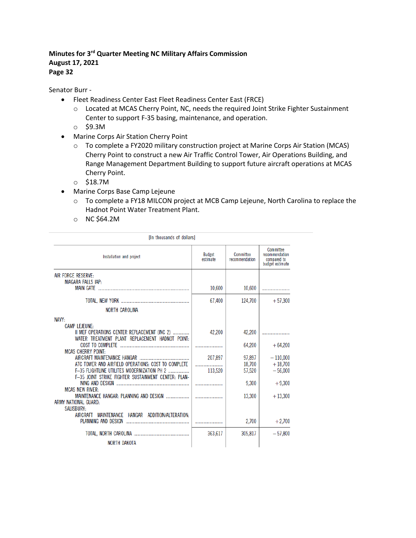Senator Burr -

- Fleet Readiness Center East Fleet Readiness Center East (FRCE)
	- o Located at MCAS Cherry Point, NC, needs the required Joint Strike Fighter Sustainment Center to support F-35 basing, maintenance, and operation.
	- o \$9.3M
- Marine Corps Air Station Cherry Point
	- o To complete a FY2020 military construction project at Marine Corps Air Station (MCAS) Cherry Point to construct a new Air Traffic Control Tower, Air Operations Building, and Range Management Department Building to support future aircraft operations at MCAS Cherry Point.
	- o \$18.7M
- Marine Corps Base Camp Lejeune
	- o To complete a FY18 MILCON project at MCB Camp Lejeune, North Carolina to replace the Hadnot Point Water Treatment Plant.
	- o NC \$64.2M

| [In thousands of dollars]                                            |                           |                                    |                                                               |
|----------------------------------------------------------------------|---------------------------|------------------------------------|---------------------------------------------------------------|
| Installation and project                                             | <b>Budget</b><br>estimate | <b>Committee</b><br>recommendation | Committee<br>recommendation<br>compared to<br>budget estimate |
| AIR FORCE RESERVE:                                                   |                           |                                    |                                                               |
| NIAGARA FALLS IAP:                                                   |                           |                                    |                                                               |
|                                                                      | 10,600                    | 10,600                             |                                                               |
|                                                                      | 67,400                    | 124,700                            | $+57.300$                                                     |
|                                                                      |                           |                                    |                                                               |
| <b>NORTH CAROLINA</b>                                                |                           |                                    |                                                               |
| NAVY:                                                                |                           |                                    |                                                               |
| <b>CAMP LEJEUNE:</b>                                                 |                           |                                    |                                                               |
| II MEF OPERATIONS CENTER REPLACEMENT (INC 2)                         | 42,200                    | 42,200                             |                                                               |
| WATER TREATMENT PLANT REPLACEMENT HADNOT POINT:                      |                           |                                    |                                                               |
| COST TO COMPLETE                                                     |                           | 64,200                             | $+64.200$                                                     |
| <b>MCAS CHERRY POINT:</b>                                            |                           |                                    |                                                               |
|                                                                      | 207.897                   | 97.897                             | $-110,000$                                                    |
| ATC TOWER AND AIRFIELD OPERATIONS: COST TO COMPLETE                  |                           | 18,700                             | $+18,700$                                                     |
| <b>F-35 FLIGHTLINE UTILITES MODERNIZATION PH 2 </b>                  | 113,520                   | 57,520                             | $-56,000$                                                     |
| F-35 JOINT STRIKE FIGHTER SUSTAINMENT CENTER: PLAN-                  |                           |                                    |                                                               |
|                                                                      |                           | 9.300                              | $+9.300$                                                      |
| <b>MCAS NEW RIVER:</b>                                               |                           |                                    |                                                               |
| MAINTENANCE HANGAR: PLANNING AND DESIGN                              |                           | 13,300                             | $+13,300$                                                     |
| ARMY NATIONAL GUARD:                                                 |                           |                                    |                                                               |
| <b>SALISBURY:</b>                                                    |                           |                                    |                                                               |
| HANGAR ADDITION/ALTERATION:<br><b>MAINTENANCE</b><br><b>AIRCRAFT</b> |                           |                                    |                                                               |
| PLANNING AND DESIGN                                                  |                           | 2,700                              | $+2,700$                                                      |
|                                                                      |                           |                                    |                                                               |
|                                                                      | 363.617                   | 305,817                            | $-57.800$                                                     |
| NORTH DAKOTA                                                         |                           |                                    |                                                               |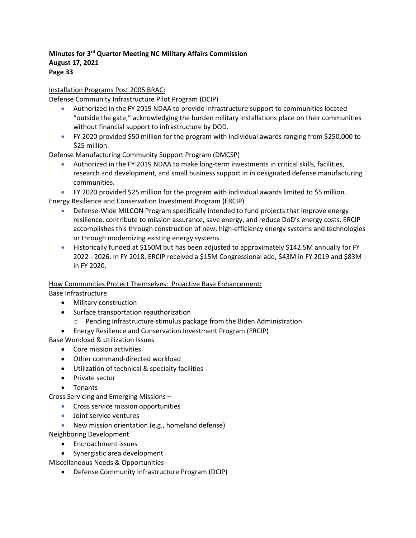Installation Programs Post 2005 BRAC:

Defense Community Infrastructure Pilot Program (DCIP)

- Authorized in the FY 2019 NDAA to provide infrastructure support to communities located "outside the gate," acknowledging the burden military installations place on their communities without financial support to infrastructure by DOD.
- FY 2020 provided \$50 million for the program with individual awards ranging from \$250,000 to \$25 million.

Defense Manufacturing Community Support Program (DMCSP)

• Authorized in the FY 2019 NDAA to make long-term investments in critical skills, facilities, research and development, and small business support in in designated defense manufacturing communities.

• FY 2020 provided \$25 million for the program with individual awards limited to \$5 million.

Energy Resilience and Conservation Investment Program (ERCIP)

- Defense-Wide MILCON Program specifically intended to fund projects that improve energy resilience, contribute to mission assurance, save energy, and reduce DoD's energy costs. ERCIP accomplishes this through construction of new, high-efficiency energy systems and technologies or through modernizing existing energy systems.
- Historically funded at \$150M but has been adjusted to approximately \$142.5M annually for FY 2022 - 2026. In FY 2018, ERCIP received a \$15M Congressional add, \$43M in FY 2019 and \$83M in FY 2020.

# How Communities Protect Themselves: Proactive Base Enhancement:

Base Infrastructure

- Military construction
- Surface transportation reauthorization
	- o Pending infrastructure stimulus package from the Biden Administration
- Energy Resilience and Conservation Investment Program (ERCIP)

Base Workload & Utilization Issues

- Core mission activities
- Other command-directed workload
- Utilization of technical & specialty facilities
- Private sector
- Tenants

Cross Servicing and Emerging Missions –

- Cross service mission opportunities
- Joint service ventures
- New mission orientation (e.g., homeland defense)

Neighboring Development

- Encroachment issues
- Synergistic area development

Miscellaneous Needs & Opportunities

• Defense Community Infrastructure Program (DCIP)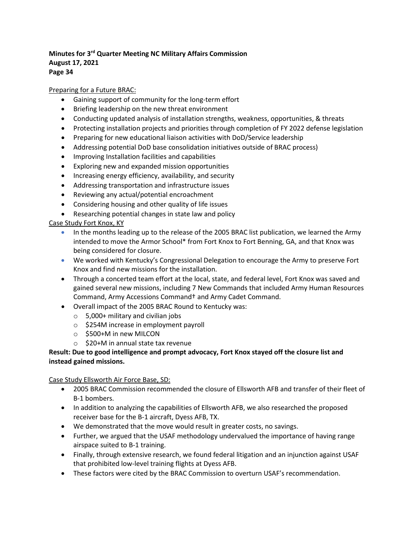#### Preparing for a Future BRAC:

- Gaining support of community for the long-term effort
- Briefing leadership on the new threat environment
- Conducting updated analysis of installation strengths, weakness, opportunities, & threats
- Protecting installation projects and priorities through completion of FY 2022 defense legislation
- Preparing for new educational liaison activities with DoD/Service leadership
- Addressing potential DoD base consolidation initiatives outside of BRAC process)
- Improving Installation facilities and capabilities
- Exploring new and expanded mission opportunities
- Increasing energy efficiency, availability, and security
- Addressing transportation and infrastructure issues
- Reviewing any actual/potential encroachment
- Considering housing and other quality of life issues
- Researching potential changes in state law and policy

Case Study Fort Knox, KY

- In the months leading up to the release of the 2005 BRAC list publication, we learned the Army intended to move the Armor School\* from Fort Knox to Fort Benning, GA, and that Knox was being considered for closure.
- We worked with Kentucky's Congressional Delegation to encourage the Army to preserve Fort Knox and find new missions for the installation.
- Through a concerted team effort at the local, state, and federal level, Fort Knox was saved and gained several new missions, including 7 New Commands that included Army Human Resources Command, Army Accessions Command† and Army Cadet Command.
- Overall impact of the 2005 BRAC Round to Kentucky was:
	- $\circ$  5,000+ military and civilian jobs
	- o \$254M increase in employment payroll
	- o \$500+M in new MILCON
	- o \$20+M in annual state tax revenue

#### **Result: Due to good intelligence and prompt advocacy, Fort Knox stayed off the closure list and instead gained missions.**

#### Case Study Ellsworth Air Force Base, SD:

- 2005 BRAC Commission recommended the closure of Ellsworth AFB and transfer of their fleet of B-1 bombers.
- In addition to analyzing the capabilities of Ellsworth AFB, we also researched the proposed receiver base for the B-1 aircraft, Dyess AFB, TX.
- We demonstrated that the move would result in greater costs, no savings.
- Further, we argued that the USAF methodology undervalued the importance of having range airspace suited to B-1 training.
- Finally, through extensive research, we found federal litigation and an injunction against USAF that prohibited low-level training flights at Dyess AFB.
- These factors were cited by the BRAC Commission to overturn USAF's recommendation.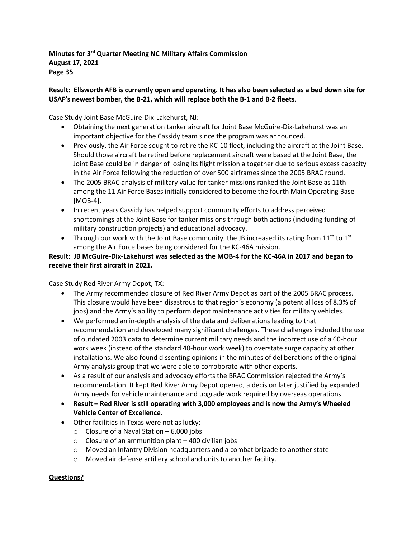**Result: Ellsworth AFB is currently open and operating. It has also been selected as a bed down site for USAF's newest bomber, the B-21, which will replace both the B-1 and B-2 fleets**.

Case Study Joint Base McGuire-Dix-Lakehurst, NJ:

- Obtaining the next generation tanker aircraft for Joint Base McGuire-Dix-Lakehurst was an important objective for the Cassidy team since the program was announced.
- Previously, the Air Force sought to retire the KC-10 fleet, including the aircraft at the Joint Base. Should those aircraft be retired before replacement aircraft were based at the Joint Base, the Joint Base could be in danger of losing its flight mission altogether due to serious excess capacity in the Air Force following the reduction of over 500 airframes since the 2005 BRAC round.
- The 2005 BRAC analysis of military value for tanker missions ranked the Joint Base as 11th among the 11 Air Force Bases initially considered to become the fourth Main Operating Base [MOB-4].
- In recent years Cassidy has helped support community efforts to address perceived shortcomings at the Joint Base for tanker missions through both actions (including funding of military construction projects) and educational advocacy.
- Through our work with the Joint Base community, the JB increased its rating from  $11<sup>th</sup>$  to  $1<sup>st</sup>$ among the Air Force bases being considered for the KC-46A mission.

# **Result: JB McGuire-Dix-Lakehurst was selected as the MOB-4 for the KC-46A in 2017 and began to receive their first aircraft in 2021.**

# Case Study Red River Army Depot, TX:

- The Army recommended closure of Red River Army Depot as part of the 2005 BRAC process. This closure would have been disastrous to that region's economy (a potential loss of 8.3% of jobs) and the Army's ability to perform depot maintenance activities for military vehicles.
- We performed an in-depth analysis of the data and deliberations leading to that recommendation and developed many significant challenges. These challenges included the use of outdated 2003 data to determine current military needs and the incorrect use of a 60-hour work week (instead of the standard 40-hour work week) to overstate surge capacity at other installations. We also found dissenting opinions in the minutes of deliberations of the original Army analysis group that we were able to corroborate with other experts.
- As a result of our analysis and advocacy efforts the BRAC Commission rejected the Army's recommendation. It kept Red River Army Depot opened, a decision later justified by expanded Army needs for vehicle maintenance and upgrade work required by overseas operations.
- **Result – Red River is still operating with 3,000 employees and is now the Army's Wheeled Vehicle Center of Excellence.**
- Other facilities in Texas were not as lucky:
	- $\circ$  Closure of a Naval Station 6,000 jobs
	- $\circ$  Closure of an ammunition plant 400 civilian jobs
	- $\circ$  Moved an Infantry Division headquarters and a combat brigade to another state
	- o Moved air defense artillery school and units to another facility.

# **Questions?**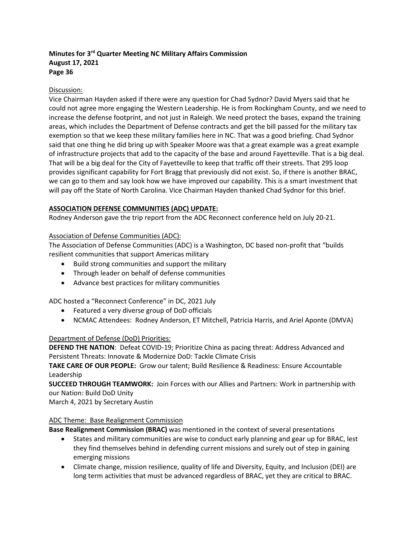#### Discussion:

Vice Chairman Hayden asked if there were any question for Chad Sydnor? David Myers said that he could not agree more engaging the Western Leadership. He is from Rockingham County, and we need to increase the defense footprint, and not just in Raleigh. We need protect the bases, expand the training areas, which includes the Department of Defense contracts and get the bill passed for the military tax exemption so that we keep these military families here in NC. That was a good briefing. Chad Sydnor said that one thing he did bring up with Speaker Moore was that a great example was a great example of infrastructure projects that add to the capacity of the base and around Fayetteville. That is a big deal. That will be a big deal for the City of Fayetteville to keep that traffic off their streets. That 295 loop provides significant capability for Fort Bragg that previously did not exist. So, if there is another BRAC, we can go to them and say look how we have improved our capability. This is a smart investment that will pay off the State of North Carolina. Vice Chairman Hayden thanked Chad Sydnor for this brief.

#### **ASSOCIATION DEFENSE COMMUNITIES (ADC) UPDATE:**

Rodney Anderson gave the trip report from the ADC Reconnect conference held on July 20-21.

#### Association of Defense Communities (ADC):

The Association of Defense Communities (ADC) is a Washington, DC based non-profit that "builds resilient communities that support Americas military

- Build strong communities and support the military
- Through leader on behalf of defense communities
- Advance best practices for military communities

ADC hosted a "Reconnect Conference" in DC, 2021 July

- Featured a very diverse group of DoD officials
- NCMAC Attendees: Rodney Anderson, ET Mitchell, Patricia Harris, and Ariel Aponte (DMVA)

#### Department of Defense (DoD) Priorities:

**DEFEND THE NATION**: Defeat COVID-19; Prioritize China as pacing threat: Address Advanced and Persistent Threats: Innovate & Modernize DoD: Tackle Climate Crisis

**TAKE CARE OF OUR PEOPLE:** Grow our talent; Build Resilience & Readiness: Ensure Accountable Leadership

**SUCCEED THROUGH TEAMWORK:** Join Forces with our Allies and Partners: Work in partnership with our Nation: Build DoD Unity

March 4, 2021 by Secretary Austin

#### ADC Theme: Base Realignment Commission

**Base Realignment Commission (BRAC)** was mentioned in the context of several presentations

- States and military communities are wise to conduct early planning and gear up for BRAC, lest they find themselves behind in defending current missions and surely out of step in gaining emerging missions
- Climate change, mission resilience, quality of life and Diversity, Equity, and Inclusion (DEI) are long term activities that must be advanced regardless of BRAC, yet they are critical to BRAC.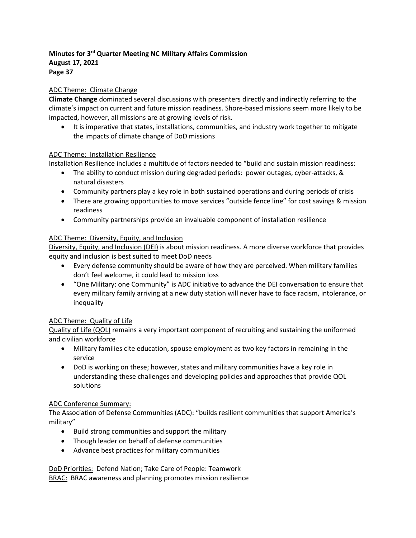#### ADC Theme: Climate Change

**Climate Change** dominated several discussions with presenters directly and indirectly referring to the climate's impact on current and future mission readiness. Shore-based missions seem more likely to be impacted, however, all missions are at growing levels of risk.

• It is imperative that states, installations, communities, and industry work together to mitigate the impacts of climate change of DoD missions

#### ADC Theme: Installation Resilience

Installation Resilience includes a multitude of factors needed to "build and sustain mission readiness:

- The ability to conduct mission during degraded periods: power outages, cyber-attacks, & natural disasters
- Community partners play a key role in both sustained operations and during periods of crisis
- There are growing opportunities to move services "outside fence line" for cost savings & mission readiness
- Community partnerships provide an invaluable component of installation resilience

#### ADC Theme: Diversity, Equity, and Inclusion

Diversity, Equity, and Inclusion (DEI) is about mission readiness. A more diverse workforce that provides equity and inclusion is best suited to meet DoD needs

- Every defense community should be aware of how they are perceived. When military families don't feel welcome, it could lead to mission loss
- "One Military: one Community" is ADC initiative to advance the DEI conversation to ensure that every military family arriving at a new duty station will never have to face racism, intolerance, or inequality

#### ADC Theme: Quality of Life

Quality of Life (QOL) remains a very important component of recruiting and sustaining the uniformed and civilian workforce

- Military families cite education, spouse employment as two key factors in remaining in the service
- DoD is working on these; however, states and military communities have a key role in understanding these challenges and developing policies and approaches that provide QOL solutions

#### ADC Conference Summary:

The Association of Defense Communities (ADC): "builds resilient communities that support America's military"

- Build strong communities and support the military
- Though leader on behalf of defense communities
- Advance best practices for military communities

DoD Priorities: Defend Nation; Take Care of People: Teamwork **BRAC: BRAC awareness and planning promotes mission resilience**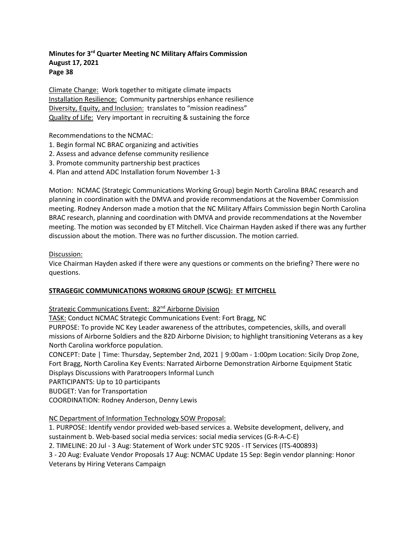Climate Change: Work together to mitigate climate impacts Installation Resilience: Community partnerships enhance resilience Diversity, Equity, and Inclusion: translates to "mission readiness" Quality of Life: Very important in recruiting & sustaining the force

Recommendations to the NCMAC:

- 1. Begin formal NC BRAC organizing and activities
- 2. Assess and advance defense community resilience
- 3. Promote community partnership best practices
- 4. Plan and attend ADC Installation forum November 1-3

Motion: NCMAC (Strategic Communications Working Group) begin North Carolina BRAC research and planning in coordination with the DMVA and provide recommendations at the November Commission meeting. Rodney Anderson made a motion that the NC Military Affairs Commission begin North Carolina BRAC research, planning and coordination with DMVA and provide recommendations at the November meeting. The motion was seconded by ET Mitchell. Vice Chairman Hayden asked if there was any further discussion about the motion. There was no further discussion. The motion carried.

#### Discussion:

Vice Chairman Hayden asked if there were any questions or comments on the briefing? There were no questions.

#### **STRAGEGIC COMMUNICATIONS WORKING GROUP (SCWG): ET MITCHELL**

Strategic Communications Event: 82<sup>nd</sup> Airborne Division

TASK: Conduct NCMAC Strategic Communications Event: Fort Bragg, NC

PURPOSE: To provide NC Key Leader awareness of the attributes, competencies, skills, and overall missions of Airborne Soldiers and the 82D Airborne Division; to highlight transitioning Veterans as a key North Carolina workforce population.

CONCEPT: Date | Time: Thursday, September 2nd, 2021 | 9:00am - 1:00pm Location: Sicily Drop Zone, Fort Bragg, North Carolina Key Events: Narrated Airborne Demonstration Airborne Equipment Static Displays Discussions with Paratroopers Informal Lunch

PARTICIPANTS: Up to 10 participants

BUDGET: Van for Transportation

COORDINATION: Rodney Anderson, Denny Lewis

NC Department of Information Technology SOW Proposal:

1. PURPOSE: Identify vendor provided web-based services a. Website development, delivery, and sustainment b. Web-based social media services: social media services (G-R-A-C-E)

2. TIMELINE: 20 Jul - 3 Aug: Statement of Work under STC 920S - IT Services (ITS-400893)

3 - 20 Aug: Evaluate Vendor Proposals 17 Aug: NCMAC Update 15 Sep: Begin vendor planning: Honor Veterans by Hiring Veterans Campaign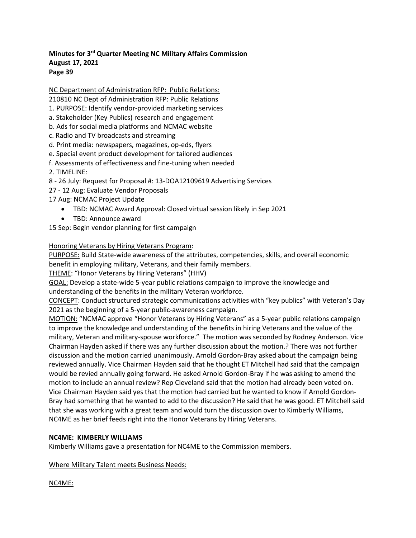NC Department of Administration RFP: Public Relations:

- 210810 NC Dept of Administration RFP: Public Relations
- 1. PURPOSE: Identify vendor-provided marketing services
- a. Stakeholder (Key Publics) research and engagement
- b. Ads for social media platforms and NCMAC website
- c. Radio and TV broadcasts and streaming
- d. Print media: newspapers, magazines, op-eds, flyers
- e. Special event product development for tailored audiences
- f. Assessments of effectiveness and fine-tuning when needed
- 2. TIMELINE:
- 8 26 July: Request for Proposal #: 13-DOA12109619 Advertising Services
- 27 12 Aug: Evaluate Vendor Proposals
- 17 Aug: NCMAC Project Update
	- TBD: NCMAC Award Approval: Closed virtual session likely in Sep 2021
	- TBD: Announce award
- 15 Sep: Begin vendor planning for first campaign

#### Honoring Veterans by Hiring Veterans Program:

PURPOSE: Build State-wide awareness of the attributes, competencies, skills, and overall economic benefit in employing military, Veterans, and their family members.

THEME: "Honor Veterans by Hiring Veterans" (HHV)

GOAL: Develop a state-wide 5-year public relations campaign to improve the knowledge and understanding of the benefits in the military Veteran workforce.

CONCEPT: Conduct structured strategic communications activities with "key publics" with Veteran's Day 2021 as the beginning of a 5-year public-awareness campaign.

MOTION: "NCMAC approve "Honor Veterans by Hiring Veterans" as a 5-year public relations campaign to improve the knowledge and understanding of the benefits in hiring Veterans and the value of the military, Veteran and military-spouse workforce." The motion was seconded by Rodney Anderson. Vice Chairman Hayden asked if there was any further discussion about the motion.? There was not further discussion and the motion carried unanimously. Arnold Gordon-Bray asked about the campaign being reviewed annually. Vice Chairman Hayden said that he thought ET Mitchell had said that the campaign would be revied annually going forward. He asked Arnold Gordon-Bray if he was asking to amend the motion to include an annual review? Rep Cleveland said that the motion had already been voted on. Vice Chairman Hayden said yes that the motion had carried but he wanted to know if Arnold Gordon-Bray had something that he wanted to add to the discussion? He said that he was good. ET Mitchell said that she was working with a great team and would turn the discussion over to Kimberly Williams, NC4ME as her brief feeds right into the Honor Veterans by Hiring Veterans.

#### **NC4ME: KIMBERLY WILLIAMS**

Kimberly Williams gave a presentation for NC4ME to the Commission members.

Where Military Talent meets Business Needs:

NC4ME: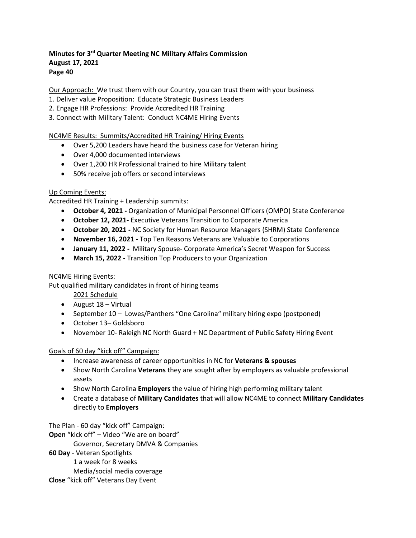Our Approach: We trust them with our Country, you can trust them with your business

- 1. Deliver value Proposition: Educate Strategic Business Leaders
- 2. Engage HR Professions: Provide Accredited HR Training
- 3. Connect with Military Talent: Conduct NC4ME Hiring Events

# NC4ME Results: Summits/Accredited HR Training/ Hiring Events

- Over 5,200 Leaders have heard the business case for Veteran hiring
- Over 4,000 documented interviews
- Over 1,200 HR Professional trained to hire Military talent
- 50% receive job offers or second interviews

# Up Coming Events:

Accredited HR Training + Leadership summits:

- **October 4, 2021 -** Organization of Municipal Personnel Officers (OMPO) State Conference
- **October 12, 2021-** Executive Veterans Transition to Corporate America
- **October 20, 2021 -** NC Society for Human Resource Managers (SHRM) State Conference
- **November 16, 2021 -** Top Ten Reasons Veterans are Valuable to Corporations
- **January 11, 2022 -** Military Spouse- Corporate America's Secret Weapon for Success
- **March 15, 2022 -** Transition Top Producers to your Organization

# NC4ME Hiring Events:

Put qualified military candidates in front of hiring teams

2021 Schedule

- August 18 Virtual
- September 10 Lowes/Panthers "One Carolina" military hiring expo (postponed)
- October 13– Goldsboro
- November 10- Raleigh NC North Guard + NC Department of Public Safety Hiring Event

# Goals of 60 day "kick off" Campaign:

- Increase awareness of career opportunities in NC for **Veterans & spouses**
- Show North Carolina **Veterans** they are sought after by employers as valuable professional assets
- Show North Carolina **Employers** the value of hiring high performing military talent
- Create a database of **Military Candidates** that will allow NC4ME to connect **Military Candidates**  directly to **Employers**

The Plan - 60 day "kick off" Campaign:

**Open** "kick off" – Video "We are on board"

Governor, Secretary DMVA & Companies

**60 Day** - Veteran Spotlights

1 a week for 8 weeks

Media/social media coverage

**Close** "kick off" Veterans Day Event